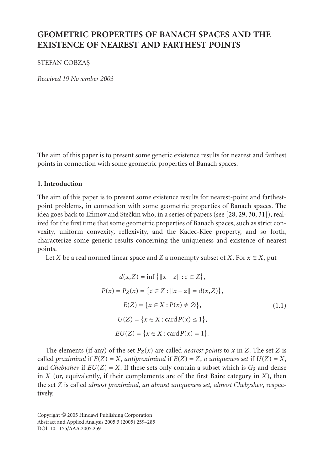# **GEOMETRIC PROPERTIES OF BANACH SPACES AND THE EXISTENCE OF NEAREST AND FARTHEST POINTS**

STEFAN COBZAS¸

*Received 19 November 2003*

The aim of this paper is to present some generic existence results for nearest and farthest points in connection with some geometric properties of Banach spaces.

#### **1. Introduction**

The aim of this paper is to present some existence results for nearest-point and farthestpoint problems, in connection with some geometric properties of Banach spaces. The idea goes back to Efimov and Stečkin who, in a series of papers (see [28, 29, 30, 31]), realized for the first time that some geometric properties of Banach spaces, such as strict convexity, uniform convexity, reflexivity, and the Kadec-Klee property, and so forth, characterize some generic results concerning the uniqueness and existence of nearest points.

Let *X* be a real normed linear space and *Z* a nonempty subset of *X*. For  $x \in X$ , put

$$
d(x, Z) = \inf \{ ||x - z|| : z \in Z \},
$$
  
\n
$$
P(x) = P_Z(x) = \{ z \in Z : ||x - z|| = d(x, Z) \},
$$
  
\n
$$
E(Z) = \{ x \in X : P(x) \neq \emptyset \},
$$
  
\n
$$
U(Z) = \{ x \in X : \text{card } P(x) \leq 1 \},
$$
  
\n
$$
EU(Z) = \{ x \in X : \text{card } P(x) = 1 \}.
$$
  
\n(1.1)

[The elements \(if any](http://dx.doi.org/10.1155/S1085337504408069)) of the set  $P_Z(x)$  are called *nearest points* to *x* in *Z*. The set *Z* is called *proximinal* if  $E(Z) = X$ , *antiproximinal* if  $E(Z) = Z$ , *a uniqueness set* if  $U(Z) = X$ , and *Chebyshev* if  $EU(Z) = X$ . If these sets only contain a subset which is  $G_{\delta}$  and dense in  $X$  (or, equivalently, if their complements are of the first Baire category in  $X$ ), then the set *Z* is called *almost proximinal, an almost uniqueness set, almost Chebyshev*, respectively.

Copyright © 2005 Hindawi Publishing Corporation Abstract and Applied Analysis 2005:3 (2005) 259–285 DOI: 10.1155/AAA.2005.259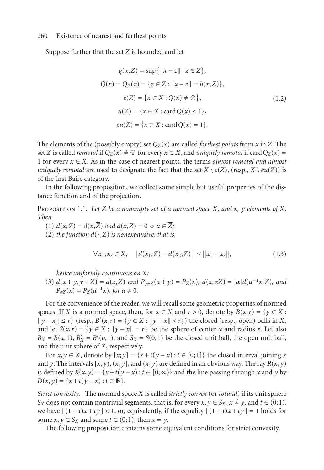Suppose further that the set *Z* is bounded and let

$$
q(x, Z) = \sup \{ ||x - z|| : z \in Z \},
$$
  
\n
$$
Q(x) = Q_Z(x) = \{ z \in Z : ||x - z|| = h(x, Z) \},
$$
  
\n
$$
e(Z) = \{ x \in X : Q(x) \neq \emptyset \},
$$
  
\n
$$
u(Z) = \{ x \in X : \text{card } Q(x) \leq 1 \},
$$
  
\n
$$
eu(Z) = \{ x \in X : \text{card } Q(x) = 1 \}.
$$
\n(1.2)

The elements of the (possibly empty) set  $Q_Z(x)$  are called *farthest points* from x in Z. The set *Z* is called *remotal* if  $Q_Z(x) \neq \emptyset$  for every  $x \in X$ , and *uniquely remotal* if card  $Q_Z(x) =$ 1 for every  $x \in X$ . As in the case of nearest points, the terms *almost remotal and almost uniquely remotal* are used to designate the fact that the set  $X \setminus e(Z)$ , (resp.,  $X \setminus e(u(Z))$ ) is of the first Baire category.

In the following proposition, we collect some simple but useful properties of the distance function and of the projection.

Proposition 1.1. *Let Z be a nonempty set of a normed space X, and x, y elements of X. Then*

(1)  $d(x, Z) = d(x, \overline{Z})$  and  $d(x, Z) = 0 \Leftrightarrow x \in \overline{Z}$ ;

(2) *the function*  $d(\cdot, Z)$  *is nonexpansive, that is,* 

$$
\forall x_1, x_2 \in X, \quad |d(x_1, Z) - d(x_2, Z)| \le ||x_1 - x_2||, \tag{1.3}
$$

*hence uniformly continuous on X;*

(3)  $d(x + y, y + Z) = d(x, Z)$  and  $P_{y+Z}(x + y) = P_Z(x)$ ,  $d(x, \alpha Z) = |\alpha| d(\alpha^{-1}x, Z)$ , and  $P_{\alpha Z}(x) = P_Z(\alpha^{-1}x)$ *, for*  $\alpha \neq 0$ *.* 

For the convenience of the reader, we will recall some geometric properties of normed spaces. If *X* is a normed space, then, for  $x \in X$  and  $r > 0$ , denote by  $B(x,r) = \{y \in X :$  $||y - x|| \le r$  (resp., *B*'(*x*,*r*) = {*y* ∈ *X* :  $||y - x|| < r$ }) the closed (resp., open) balls in *X*, and let  $S(x,r) = \{y \in X : ||y - x|| = r\}$  be the sphere of center *x* and radius *r*. Let also  $B_X = B(x, 1)$ ,  $B'_X = B'(0, 1)$ , and  $S_X = S(0, 1)$  be the closed unit ball, the open unit ball, and the unit sphere of *X*, respectively.

For *x*,  $y \in X$ , denote by  $[x; y] = \{x + t(y - x) : t \in [0; 1]\}$  the closed interval joining *x* and *y*. The intervals  $[x; y)$ ,  $(x; y]$ , and  $(x; y)$  are defined in an obvious way. The ray  $R(x, y)$ is defined by  $R(x, y) = \{x + t(y - x) : t \in [0, \infty)\}\$  and the line passing through x and y by  $D(x, y) = \{x + t(y - x) : t \in \mathbb{R}\}.$ 

*Strict convexity.* The normed space *X* is called *strictly convex* (or *rotund*) if its unit sphere *Sx* does not contain nontrivial segments, that is, for every  $x, y \in S_X$ ,  $x \neq y$ , and  $t \in (0, 1)$ , we have  $||(1-t)x + ty|| < 1$ , or, equivalently, if the equality  $||(1-t)x + ty|| = 1$  holds for some  $x, y \in S_X$  and some  $t \in (0, 1)$ , then  $x = y$ .

The following proposition contains some equivalent conditions for strict convexity.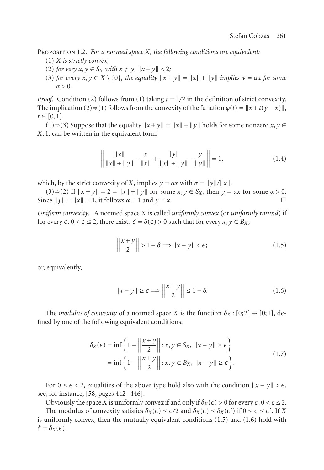Proposition 1.2. *For a normed space X, the following conditions are equivalent:*

- (1) *X is strictly convex;*
- (2) *for very x*, *y* ∈ *S*<sub>*x*</sub> *with x* ≠ *y*,  $||x + y||$  < 2*;*
- $(3)$  *for every*  $x, y \in X \setminus \{0\}$ , the equality  $||x + y|| = ||x|| + ||y||$  *implies*  $y = \alpha x$  *for some α >* 0*.*

*Proof.* Condition (2) follows from (1) taking  $t = 1/2$  in the definition of strict convexity. The implication (2)  $\Rightarrow$  (1) follows from the convexity of the function  $\varphi(t) = \|x + t(y - x)\|$ ,  $t \in [0,1].$ 

 $(1)$  ⇒  $(3)$  Suppose that the equality  $||x + y|| = ||x|| + ||y||$  holds for some nonzero *x*, *y* ∈ *X*. It can be written in the equivalent form

<span id="page-2-0"></span>
$$
\left\| \frac{\|x\|}{\|x\| + \|y\|} \cdot \frac{x}{\|x\|} + \frac{\|y\|}{\|x\| + \|y\|} \cdot \frac{y}{\|y\|} \right\| = 1,
$$
\n(1.4)

which, by the strict convexity of *X*, implies  $y = \alpha x$  with  $\alpha = ||y||/||x||$ .

 $(3) \Rightarrow (2)$  If  $||x + y|| = 2 = ||x|| + ||y||$  for some  $x, y \in S_X$ , then  $y = \alpha x$  for some  $\alpha > 0$ . Since  $||y|| = ||x|| = 1$ , it follows  $\alpha = 1$  and  $y = x$ .

*Uniform convexity.* A normed space *X* is called *uniformly convex* (or *uniformly rotund*) if for every  $\epsilon$ ,  $0 < \epsilon \leq 2$ , there exists  $\delta = \delta(\epsilon) > 0$  such that for every  $x, y \in B_X$ ,

<span id="page-2-1"></span>
$$
\left\| \frac{x+y}{2} \right\| > 1 - \delta \Longrightarrow \|x - y\| < \epsilon; \tag{1.5}
$$

or, equivalently,

$$
||x - y|| \ge \epsilon \Longrightarrow \left| \left| \frac{x + y}{2} \right| \right| \le 1 - \delta. \tag{1.6}
$$

The *modulus [of co](#page-25-0)nvexity* of a normed space *X* is the function  $\delta_X : [0;2] \rightarrow [0;1]$ , defined by one of the following equivalent conditions:

$$
\delta_X(\epsilon) = \inf \left\{ 1 - \left\| \frac{x+y}{2} \right\| : x, y \in S_X, \|x-y\| \ge \epsilon \right\}
$$
  
= 
$$
\inf \left\{ 1 - \left\| \frac{x+y}{2} \right\| : x, y \in B_X, \|x-y\| \ge \epsilon \right\}.
$$
 (1.7)

For  $0 \le \epsilon < 2$ , equalities of the above type hold also with the condition  $||x - y|| > \epsilon$ . see, for instance, [58, pages 442– 446].

Obviously the space *X* is uniformly convex if and only if  $\delta_X(\epsilon) > 0$  for every  $\epsilon$ ,  $0 < \epsilon \leq 2$ . The modulus of convexity satisfies  $\delta_X(\epsilon) \leq \epsilon/2$  and  $\delta_X(\epsilon) \leq \delta_X(\epsilon')$  if  $0 \leq \epsilon \leq \epsilon'$ . If X is uniformly convex, then the mutually equivalent conditions (1.5) and (1.6) hold with  $\delta = \delta_X(\epsilon)$ .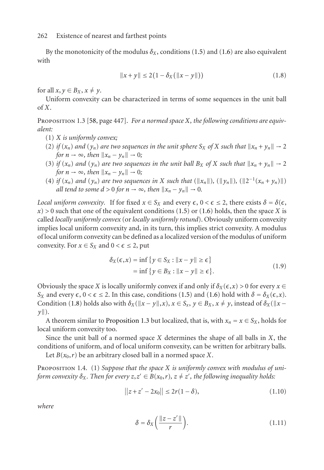<span id="page-3-1"></span>By the monotonicity of the modulus  $\delta_X$ , conditions (1.5) and (1.6) are also equivalent with

<span id="page-3-0"></span>
$$
||x + y|| \le 2(1 - \delta_X(||x - y||))
$$
\n(1.8)

for all  $x, y \in B_X, x \neq y$ .

Uniform convexity can be characterized in terms of some sequences in the unit ball of *X*.

Proposition 1.3 [58, page 447]. *For a normed space X, the following conditions are equivalent:*

- (1) *X is uniformly convex;*
- (2) *if*  $(x_n)$  *and*  $(y_n)$  *are two sequences in the unit sphere*  $S_X$  *of*  $X$  *such that*  $||x_n + y_n|| \rightarrow 2$ *for*  $n \to \infty$ *, then*  $||x_n - y_n|| \to 0$ *;*
- (3) *if*  $(x_n)$  *and*  $(y_n)$  *are two sequences in the unit ball*  $B_X$  *of*  $X$  *such that*  $||x_n + y_n|| \rightarrow 2$ *for*  $n \to \infty$ *, then*  $||x_n - y_n|| \to 0$ *;*
- (4) *if*  $(x_n)$  *and*  $(y_n)$  *are two sequences in X such that*  $(\|x_n\|)$ ,  $(\|y_n\|)$ ,  $(\|2^{-1}(x_n + y_n)\|)$ *all tend to some*  $d > 0$  *for*  $n \to \infty$ *, then*  $||x_n - y_n|| \to 0$ *.*

*Local uniform convexity.* If for fixed  $x \in S_X$  and every  $\epsilon$ ,  $0 < \epsilon \leq 2$ , there exists  $\delta = \delta(\epsilon)$ ,  $x$ ) > 0 such that one of the equivalent conditions (1.5) or (1.6) holds, then the space *X* is called *locally uniformly convex* (or *locally uniformly [rotu](#page-2-0)nd*). [Obvi](#page-2-1)ously uniform convexity implies loc[al](#page-3-0) [un](#page-3-0)iform convexity and, in its turn, this implies strict convexity. A modulus of local uniform convexity can be defined as a localized version of the modulus of uniform convexity. For  $x \in S_X$  and  $0 < \epsilon \leq 2$ , put

<span id="page-3-2"></span>
$$
\delta_X(\epsilon, x) = \inf \{ y \in S_X : ||x - y|| \ge \epsilon \}
$$
  
= 
$$
\inf \{ y \in B_X : ||x - y|| \ge \epsilon \}.
$$
 (1.9)

Obviously the space *X* is locally uniformly convex if and only if  $\delta_X(\epsilon, x) > 0$  for every  $x \in$ *Sx* and every  $\epsilon$ , 0 <  $\epsilon$  ≤ 2. In this case, conditions (1.5) and (1.6) hold with *δ* = *δx*( $\epsilon$ ,*x*). Condition (1.8) holds also with  $\delta_X(\|x - y\|, x)$ ,  $x \in S_x$ ,  $y \in B_X$ ,  $x \neq y$ , instead of  $\delta_X(\|x - y\|, x)$ *y*-).

A theorem similar to Proposition 1.3 but localized, that is, with  $x_n = x \in S_X$ , holds for local uniform convexity too.

Since the unit ball of a normed space *X* determines the shape of all balls in *X*, the conditions of uniform, and of local uniform convexity, can be written for arbitrary balls.

Let  $B(x_0, r)$  be an arbitrary closed ball in a normed space *X*.

Proposition 1.4. (1) *Suppose that the space X is uniformly convex with modulus of uniform convexity*  $\delta_X$ *. Then for every*  $z, z' \in B(x_0, r)$ ,  $z \neq z'$ , the following inequality holds:

$$
||z + z' - 2x_0|| \le 2r(1 - \delta), \tag{1.10}
$$

*where*

$$
\delta = \delta_X \left( \frac{\|z - z'\|}{r} \right). \tag{1.11}
$$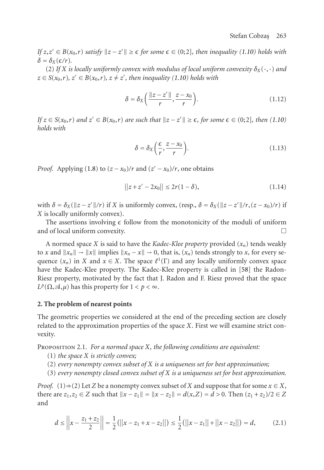# Stefan Cobzas [263](#page-3-2)

*If*  $z, z' \in B(x_0, r)$  *satisfy*  $||z - z'|| \ge \epsilon$  *for some*  $\epsilon \in (0; 2]$ *, then inequality* (1.10) holds with  $\delta = \delta_X(\epsilon/r)$ .

(2) If *X* is locally uniformly convex with modulus of local uniform convexity  $\delta_X(\cdot, \cdot)$  and  $z \in S(x_0, r)$ *,*  $z' \in B(x_0, r)$ *,*  $z \neq z'$ *, then inequality* (1.10) holds with

$$
\delta = \delta_X \left( \frac{\|z - z'\|}{r}, \frac{z - x_0}{r} \right). \tag{1.12}
$$

 $\int f(z) \in S(x_0, r)$  *and*  $z' \in B(x_0, r)$  *are such that*  $\|z - z'\| \ge \epsilon$ , for some  $\epsilon \in (0, 2]$ , then (1.10) *holds with*

$$
\delta = \delta_X \left( \frac{\epsilon}{r}, \frac{z - x_0}{r} \right). \tag{1.13}
$$

*Proof.* Applying (1.8) to  $(z - x_0)/r$  and  $(z' - x_0)/r$ , one obtains

$$
||z + z' - 2x_0|| \le 2r(1 - \delta), \tag{1.14}
$$

with  $\delta = \delta_X(\Vert z - z' \Vert / r)$  if *X* is uniformly convex, (resp.,  $\delta = \delta_X(\Vert z - z' \Vert / r, (z - x_0)/r)$  if *X* is locally uniformly convex).

The assertions involving  $\epsilon$  follow from the monotonicity of the moduli of uniform and of local uniform convexity.

<span id="page-4-0"></span>A normed space *X* is said to have the *Kadec-Klee property* provided  $(x_n)$  tends weakly to *x* and  $||x_n|| \to ||x||$  implies  $||x_n - x|| \to 0$ , that is,  $(x_n)$  tends strongly to *x*, for every sequence  $(x_n)$  in *X* and  $x \in X$ . The space  $\ell^1(\Gamma)$  and any locally uniformly convex space have the Kadec-Klee property. The Kadec-Klee property is called in [58] the Radon-Riesz property, motivated by the fact that J. Radon and F. Riesz proved that the space *L*<sup>*p*</sup>( $\Omega$ , $\mathcal{A}, \mu$ ) has this property for  $1 < p < \infty$ .

#### **2. The problem of nearest points**

The geometric properties we considered at the end of the preceding section are closely related to the approximation properties of the space *X*. First we will examine strict convexity.

Proposition 2.1. *For a normed space X, the following conditions are equivalent:*

- (1) *the space X is strictly convex;*
- (2) *every nonempty convex subset of X is a uniqueness set for best approximation;*
- (3) *every nonempty closed convex subset of X is a uniqueness set for best approximation.*

*Proof.* (1)⇒(2) Let *Z* be a nonempty convex subset of *X* and suppose that for some  $x \in X$ , there are  $z_1, z_2 \in Z$  such that  $||x - z_1|| = ||x - z_2|| = d(x, Z) = d > 0$ . Then  $(z_1 + z_2)/2 \in Z$ and

$$
d \le \left\|x - \frac{z_1 + z_2}{2}\right\| = \frac{1}{2}(\left\|x - z_1 + x - z_2\right\|) \le \frac{1}{2}(\left\|x - z_1\right\| + \left\|x - z_2\right\|) = d,\tag{2.1}
$$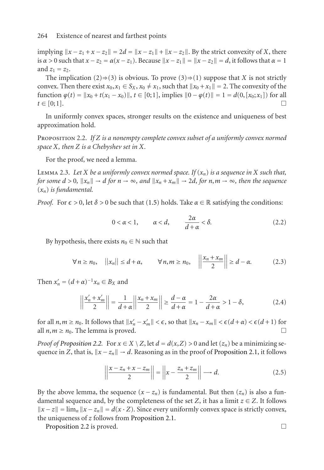<span id="page-5-0"></span> $\int \int \int \int \int \int \int \int |x - z_1 + x - z_2|| = 2d = ||x - z_1|| + ||x - z_2||$ . By the strict convexity of *X*, there is  $\alpha > 0$  such that  $x - z_2 = \alpha(x - z_1)$ . Because  $||x - z_1|| = ||x - z_2|| = d$ , it follows that  $\alpha = 1$ and  $z_1 = z_2$ .

The implication (2)⇒(3) is obvious. To prove (3)⇒(1) suppose that *X* is not strictly convex. Then there exist  $x_0, x_1 \in S_X$ ,  $x_0 \neq x_1$ , such that  $||x_0 + x_1|| = 2$ . The convexity of the function  $\varphi(t) = ||x_0 + t(x_1 - x_0)||$ ,  $t \in [0; 1]$ , implies  $||0 - \varphi(t)|| = 1 = d(0, [x_0; x_1])$  for all  $t \in [0;1].$ 

In uniformly convex spaces, stronger results on the existence and uniqueness of best approximation hold.

Proposition 2.2. *If Z is a nonempty complete convex subset of a uniformly convex normed space X, then Z is a Chebyshev set in X.*

For the proof, we need a lemma.

LEMMA 2.3. Let *X* be a uniformly convex normed space. If  $(x_n)$  is a sequence in *X* such that, *for some d* > 0,  $||x_n|| \to d$  *for*  $n \to \infty$ *, and*  $||x_n + x_m|| \to 2d$ *, for*  $n, m \to \infty$ *, then the sequence* (*xn*) *is fundamental.*

*Proof.* For  $\epsilon > 0$ , let  $\delta > 0$  be such that (1.5) holds. Take  $\alpha \in \mathbb{R}$  satisfying the conditions:

$$
0 < \alpha < 1, \qquad \alpha < d, \qquad \frac{2\alpha}{d + \alpha} < \delta. \tag{2.2}
$$

By hypothesis, there exists  $n_0 \in \mathbb{N}$  such that

$$
\forall n \ge n_0, \quad ||x_n|| \le d + \alpha, \qquad \forall n, m \ge n_0, \quad \left\| \frac{x_n + x_m}{2} \right\| \ge d - \alpha. \tag{2.3}
$$

Then  $x'_n = (d + \alpha)^{-1} x_n \in B_X$  and

$$
\left\| \frac{x'_n + x'_m}{2} \right\| = \frac{1}{d + \alpha} \left\| \frac{x_n + x_m}{2} \right\| \ge \frac{d - \alpha}{d + \alpha} = 1 - \frac{2\alpha}{d + \alpha} > 1 - \delta,
$$
 (2.4)

for all  $n, m \ge n_0$ . It follows that  $||x'_n - x'_m|| < \epsilon$ , so that  $||x_n - x_m|| < \epsilon(d + \alpha) < \epsilon(d + 1)$  for all  $n, m \ge n_0$ . The lemma is proved.

*Proof of Proposition 2.2.* For  $x \in X \setminus Z$ [,](#page-4-0) [let](#page-4-0)  $d = d(x, Z) > 0$  and let  $(z_n)$  be a minimizing sequ[ence in](#page-5-0) *Z*, that is,  $||x - z_n|| \rightarrow d$ . Reasoning as in the proof of Proposition 2.1, it follows

$$
\left\| \frac{x - z_n + x - z_m}{2} \right\| = \left\| x - \frac{z_n + z_m}{2} \right\| \longrightarrow d. \tag{2.5}
$$

By the above lemma, the sequence  $(x - z_n)$  is fundamental. But then  $(z_n)$  is also a fundamental sequence and, by the completeness of the set *Z*, it has a limit  $z \in Z$ . It follows  $||x - z|| = \lim_{n} ||x - z_n|| = d(x \cdot Z)$ . Since every uniformly convex space is strictly convex, the uniqueness of *z* follows from Proposition 2.1.

Proposition 2.2 is proved. □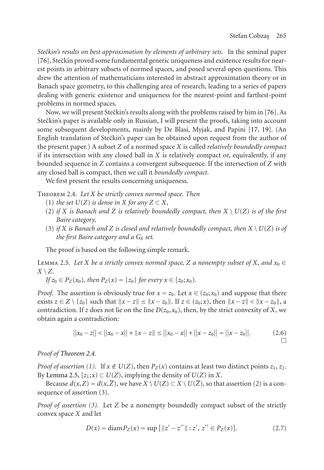*Stečkin's results on best approximation by elements of arbitrary sets.* In the s[emi](#page-24-0)[nal](#page-24-1) paper [76], Steckin proved some fundamental generic uniqueness and existence results for nearest points in arbitrary subsets of normed spaces, and posed several open questions. This drew the attention of mathematicians interested in abstract approximation theory or in Banach space geometry, to this challenging area of research, leading to a series of papers dealing with generic existence and uniqueness for the nearest-point and farthest-point problems in normed spaces.

<span id="page-6-0"></span>Now, we will present Steckin's results along with the problems raised by him in [76]. As Stečkin's paper is available only in Russian, I will present the proofs, taking into account some subsequent developments, mainly by De Blasi, Myjak, and Papini [17, 19]. (An English translation of Steckin's paper can be obtained upon request from the author of the present paper.) A subset *Z* of a normed space *X* is called *relatively boundedly compact* if its intersection with any closed ball in  $X$  is relatively compact or, equivalently, if any bounded sequence in *Z* contains a convergent subsequence. If the intersection of *Z* with any closed ball is compact, then we call it *boundedly compact*.

We first present the results concerning uniqueness.

<span id="page-6-1"></span>Theorem 2.4. *Let X be strictly convex normed space. Then*

- (1) *the set*  $U(Z)$  *is dense in*  $X$  *for any*  $Z \subset X$ *,*
- (2) *if X is Banach and Z is relatively boundedly compact, then X* \ *U*(*Z*) *is of the first Baire category,*
- (3) *if X* is Banach and *Z* is closed and relatively boundedly compact, then  $X \setminus U(Z)$  *is of the first Baire category and a G*<sup>*δ set.*</sup>

The proof is based on the following simple remark.

LEMMA 2.5. Let *X* be a strictly convex normed space, *Z* a nonempty subset of *X*, and  $x_0 \in$ *X* \ *Z.*

*If*  $z_0 \in P_Z(x_0)$ *[,](#page-6-0) [the](#page-6-0)n*  $P_Z(x) = \{z_0\}$  *for every*  $x \in [z_0; x_0)$ *.* 

*Proof.* [The asse](#page-6-1)rtion is obviously true for  $x = z_0$ . Let  $x \in (z_0; x_0)$  and suppose that there exists *z* ∈ *Z* \ {*z*<sub>0</sub>} such that  $||x - z|| \le ||x - z_0||$ . If *z* ∈ (*z*<sub>0</sub>;*x*), then  $||x - z|| < ||x - z_0||$ , a contradiction. If *z* does not lie on the line  $D(z_0, x_0)$ , then, by the strict convexity of *X*, we obtain again a contradiction:

$$
||x_0 - z|| < ||x_0 - x|| + ||x - z|| \le ||x_0 - x|| + ||x - z_0|| = ||x - z_0||.
$$
 (2.6)

*Proof of Theorem 2.4.*

*Proof of assertion (1).* If  $x \notin U(Z)$ , then  $P_Z(x)$  contains at least two distinct points  $z_1, z_2$ . By Lemma 2.5,  $[z_1; x] \subset U(Z)$ , implying the density of  $U(Z)$  in *X*.

Because  $d(x, Z) = d(x, \overline{Z})$ , we have  $X \setminus U(Z) \subset X \setminus U(\overline{Z})$ , so that assertion (2) is a consequence of assertion (3).

*Proof of assertion (3).* Let *Z* be a nonempty boundedly compact subset of the strictly convex space *X* and let

$$
D(x) = \text{diam}\, P_Z(x) = \sup\left\{ ||z' - z''|| : z', \, z'' \in P_Z(x) \right\}. \tag{2.7}
$$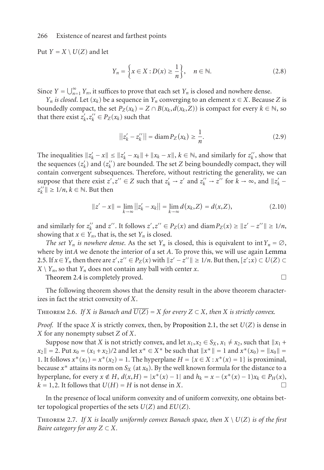Put  $Y = X \setminus U(Z)$  and let

$$
Y_n = \left\{ x \in X : D(x) \ge \frac{1}{n} \right\}, \quad n \in \mathbb{N}.
$$
 (2.8)

Since  $Y = \bigcup_{n=1}^{\infty} Y_n$ , it suffices to prove that each set  $Y_n$  is closed and nowhere dense.

*Y<sub>n</sub> is closed*. Let  $(x_k)$  be a sequence in *Y<sub>n</sub>* converging to an element  $x \in X$ . Because *Z* is boundedly compact, the set  $P_Z(x_k) = Z \cap B(x_k, d(x_k, Z))$  is compact for every  $k \in \mathbb{N}$ , so that there exist  $z'_k, z''_k \in P_Z(x_k)$  such that

$$
||z'_{k} - z''_{k}|| = \text{diam}\, P_{Z}(x_{k}) \ge \frac{1}{n}.\tag{2.9}
$$

The inequalities  $||z'_k - x|| \le ||z'_k - x_k|| + ||x_k - x||$ ,  $k \in \mathbb{N}$ , and similarly for  $z''_k$ , show that the sequences  $(z'_{k})$  and  $(z''_{k})$  are bounded. The set *Z* being boundedly compact, they will contain convergent subsequences. Therefore, without restricting the generality, [we can](#page-6-1) [sup](#page-6-1)pose that there exist  $z', z'' \in Z$  such that  $z'_k \to z'$  and  $z''_k \to z''$  for  $k \to \infty$ , and  $||z'_k - z'||$  $z_k''$   $\parallel \geq 1/n$ ,  $k \in \mathbb{N}$ . But then

$$
||z'-x|| = \lim_{k \to \infty} ||z'_k - x_k|| = \lim_{k \to \infty} d(x_k, Z) = d(x, Z),
$$
 (2.10)

and similarly for  $z_k''$  and  $z''$ . It follows  $z', z'' \in P_Z(x)$  and  $\text{diam } P_Z(x) \ge ||z' - z''|| \ge 1/n$ , showing that  $x \in Y_n$ , that is, the set  $Y_n$  is closed.

*The set Y<sub>n</sub> is nowhere dense.* As the set *Y<sub>n</sub>* is closed, this is equivalent to int  $Y_n = \emptyset$ , where by int*A* we denote the interior of a set *A*[.](#page-4-0) [To](#page-4-0) [prove](#page-4-0) [this,](#page-4-0) [w](#page-4-0)e will use again Lemma 2.5. If *x* ∈ *Y<sub>n</sub>* then there are  $z'$ , $z''$  ∈  $P_Z(x)$  with  $||z' - z''|| \ge 1/n$ . But then,  $[z';x)$  ⊂  $U(Z)$  ⊂  $X \setminus Y_n$ , so that  $Y_n$  does not contain any ball with center *x*.

Theorem 2.4 is completely proved.

The following theorem shows that the density result in the above theorem characterizes in fact the strict convexity of *X*.

THEOREM 2.6. *If X is Banach and*  $\overline{U(Z)} = X$  *for every*  $Z \subset X$ *, then X is strictly convex.* 

<span id="page-7-0"></span>*Proof.* If the space *X* is strictly convex, then, by Proposition 2.1, the set  $U(Z)$  is dense in *X* for any nonempty subset *Z* of *X*.

Suppose now that *X* is not strictly convex, and let  $x_1, x_2 \in S_X$ ,  $x_1 \neq x_2$ , such that  $||x_1 +$  $x_2$   $\| = 2$ . Put  $x_0 = (x_1 + x_2)/2$  and let  $x^* \in X^*$  be such that  $\|x^*\| = 1$  and  $x^*(x_0) = \|x_0\| = 1$ 1. It follows  $x^*(x_1) = x^*(x_2) = 1$ . The hyperplane  $H = \{x \in X : x^*(x) = 1\}$  is proximinal, because  $x^*$  attains its norm on  $S_X$  (at  $x_0$ ). By the well known formula for the distance to a hyperplane, for every  $x \notin H$ ,  $d(x,H) = |x^*(x) - 1|$  and  $h_k = x - (x^*(x) - 1)x_k \in P_H(x)$ ,  $k = 1, 2$ . It follows that  $U(H) = H$  is not dense in *X*.

In the presence of local uniform convexity and of uniform convexity, one obtains better topological properties of the sets *U*(*Z*) and *EU*(*Z*).

THEOREM 2.7. If X is locally uniformly convex Banach space, then  $X \setminus U(Z)$  is of the first *Baire category for any*  $Z \subset X$ *.*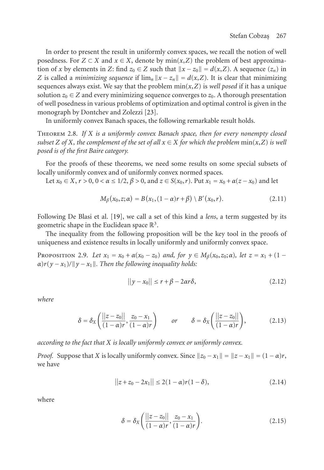<span id="page-8-1"></span>In order to present the result in uniformly convex spaces, we recall the notion of well posedness. For  $Z \subset X$  and  $x \in X$ , denote by min $(x, Z)$  the problem of best approximation of *x* by elements in *Z*: find  $z_0 \in Z$  such that  $||x - z_0|| = d(x,Z)$ . A sequence  $(z_n)$  in *Z* is called a *minimizing sequence* if  $\lim_{n} ||x - z_n|| = d(x, Z)$ . It is clear that minimizing sequences always exist. We say that the problem  $min(x, Z)$  is *well posed* if it has a unique solution  $z_0 \in Z$  and every minimizing sequence converges to  $z_0$ . A thorough presentation of well posedness in various problems of optimization and optimal control is given in the monograph by Dontchev and Zolezzi [23].

In uniformly convex Banach spaces, the following remarkable result holds.

Theorem 2.8. *If X is a uniformly convex Banach space, then for every nonempty closed subset Z* of *X, the complem[ent](#page-24-1) of the set of all*  $x \in X$  *for which the problem*  $\min(x, Z)$  *is well posed is of the first Baire category.*

For the proofs of these theorems, we need some results on some special subsets of locally uniformly convex and of uniformly convex normed spaces.

Let  $x_0 \in X$ ,  $r > 0$ ,  $0 < \alpha \le 1/2$ ,  $\beta > 0$ , and  $z \in S(x_0, r)$ . Put  $x_1 = x_0 + \alpha(z - x_0)$  and let

<span id="page-8-0"></span>
$$
M_{\beta}(x_0, z; \alpha) = B(x_1, (1 - \alpha)r + \beta) \ B'(x_0, r).
$$
 (2.11)

Following De Blasi et al. [19], we call a set of this kind a *lens*, a term suggested by its geometric shape in the Euclidean space  $\mathbb{R}^3$ .

The inequality from the following proposition will be the key tool in the proofs of uniqueness and existence results in locally uniformly and uniformly convex space.

PROPOSITION 2.9. *Let*  $x_1 = x_0 + \alpha(x_0 - z_0)$  *and, for*  $y \in M_\beta(x_0, z_0; \alpha)$ *, let*  $z = x_1 + (1 - \alpha)x_0$  $\alpha$ ) $r(y - x_1)$ / $\|y - x_1\|$ . Then the following inequality holds:

$$
||y - x_0|| \le r + \beta - 2\alpha r \delta, \qquad (2.12)
$$

*where*

$$
\delta = \delta_X \left( \frac{||z - z_0||}{(1 - \alpha)r}, \frac{z_0 - x_1}{(1 - \alpha)r} \right) \qquad \text{or} \qquad \delta = \delta_X \left( \frac{||z - z_0||}{(1 - \alpha)r} \right), \tag{2.13}
$$

*according to the fact that X is locally uniformly convex or uniformly convex.*

*Proof.* Suppose that *X* is locally uniformly convex. Since  $||z_0 - x_1|| = ||z - x_1|| = (1 - \alpha)r$ , we have

$$
||z + z_0 - 2x_1|| \le 2(1 - \alpha)r(1 - \delta), \tag{2.14}
$$

where

$$
\delta = \delta_X \left( \frac{||z - z_0||}{(1 - \alpha)r}, \frac{z_0 - x_1}{(1 - \alpha)r} \right). \tag{2.15}
$$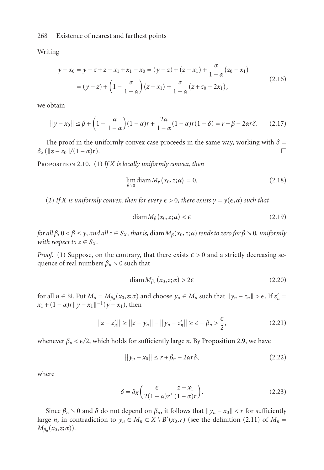<span id="page-9-0"></span>Writing

$$
y - x_0 = y - z + z - x_1 + x_1 - x_0 = (y - z) + (z - x_1) + \frac{\alpha}{1 - \alpha}(z_0 - x_1)
$$
  
=  $(y - z) + (1 - \frac{\alpha}{1 - \alpha})(z - x_1) + \frac{\alpha}{1 - \alpha}(z + z_0 - 2x_1),$  (2.16)

we obtain

$$
||y - x_0|| \le \beta + \left(1 - \frac{\alpha}{1 - \alpha}\right)(1 - \alpha)r + \frac{2\alpha}{1 - \alpha}(1 - \alpha)r(1 - \delta) = r + \beta - 2\alpha r\delta. \tag{2.17}
$$

The proof in the uniformly convex case proceeds in the same way, working with  $\delta$  =  $\delta_X(\|z - z_0\|/((1 - \alpha)r)).$ 

PROPOSITION 2.10. (1) If *X* is locally uniformly convex, then

$$
\lim_{\beta \searrow 0} \text{diam} \, M_{\beta}(x_0, z; \alpha) = 0. \tag{2.18}
$$

(2) *If X is uniformly convex, then for every*  $\epsilon > 0$ *, there exists*  $\gamma = \gamma(\epsilon, \alpha)$  *such that* 

$$
diam M_{\beta}(x_0, z; \alpha) < \epsilon \tag{2.19}
$$

*for all*  $\beta$ ,  $0 < \beta \le \gamma$ , and all  $z \in S_X$ , that is, diam  $M_\beta(x_0, z; \alpha)$  tends to zero for  $\beta > 0$ , uniformly *with respect to*  $z \in S_X$ *.* 

*Proof.* (1) Suppose, on the contrary, that there exists  $\epsilon > 0$  and a strictly decreasing sequence of real numbers  $\beta_n \searrow 0$  such that

$$
diam M_{\beta_n}(x_0, z; \alpha) > 2\epsilon
$$
\n(2.20)

for all  $n \in \mathbb{N}$ . Put  $M_n = M_{\beta_n}(x_0, z; \alpha)$  and choose  $y_n \in M_n$  such that  $||y_n - z_n|| > \epsilon$ . If  $z'_n =$  $x_1 + (1 - \alpha)r||y - x_1||^{-1}(y - x_1)$ , then

$$
||z - z'_{n}|| \ge ||z - y_{n}|| - ||y_{n} - z'_{n}|| \ge \epsilon - \beta_{n} > \frac{\epsilon}{2},
$$
\n(2.21)

whenever  $\beta_n < \epsilon/2$ , which holds for sufficiently large *n*. By Proposition 2.[9, we h](#page-8-0)ave

$$
||y_n - x_0|| \le r + \beta_n - 2\alpha r \delta,
$$
\n(2.22)

where

$$
\delta = \delta_X \left( \frac{\epsilon}{2(1-\alpha)r}, \frac{z - x_1}{(1-\alpha)r} \right). \tag{2.23}
$$

Since  $\beta_n \setminus 0$  and  $\delta$  do not depend on  $\beta_n$ , it follows that  $||y_n - x_0|| < r$  for sufficiently large *n*, in contradiction to  $y_n \in M_n \subset X \setminus B'(x_0,r)$  (see the definition (2.11) of  $M_n =$  $M_{\beta_n}(x_0,z;\alpha)$ ).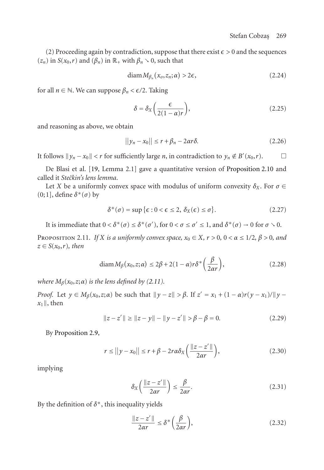(2) Proceeding again by contradiction, suppose that there exist  $\epsilon > 0$  and the sequences  $(z_n)$  in  $S(x_0,r)$  and  $(\beta_n)$  in  $\mathbb{R}_+$  with  $\beta_n \setminus 0$ , such that

$$
diam M_{\beta_n}(x_o, z_n; \alpha) > 2\epsilon,
$$
\n(2.24)

for all  $n \in \mathbb{N}$ . We c[an s](#page-24-1)uppose  $\beta_n < \epsilon/2$ . Taking

$$
\delta = \delta_X \left( \frac{\epsilon}{2(1 - \alpha)r} \right),\tag{2.25}
$$

and reasoning as above, we obtain

$$
||y_n - x_0|| \le r + \beta_n - 2\alpha r \delta. \tag{2.26}
$$

<span id="page-10-0"></span>*It follows*  $||y_n - x_0|| < r$  for sufficiently large *n*, in contradiction to *y<sub>n</sub>* ∉ *B'*( $x_0, r$ ). □

De Blasi et al. [19, Lemma 2.1] gave a quantitative version of Proposition 2.10 and called it *Steˇckin's lens lemma*.

Let *X* be a uniformly convex space with modulus of uniform convexity  $\delta_X$ . For  $\sigma \in$ (0;1], define *δ*<sup>∗</sup>(*σ*) by

$$
\delta^*(\sigma) = \sup \{ \epsilon : 0 < \epsilon \le 2, \ \delta_X(\epsilon) \le \sigma \}. \tag{2.27}
$$

It is immediate that  $0 < \delta^*(\sigma) \leq \delta^*(\sigma')$ , for  $0 < \sigma \leq \sigma' \leq 1$ , and  $\delta^*(\sigma) \to 0$  for  $\sigma > 0$ .

PROPOSITION 2.11. *If X is a uniformly convex space,*  $x_0 \in X$ *,*  $r > 0$ *,*  $0 < \alpha \leq 1/2$ *,*  $\beta > 0$ *, and*  $z \in S(x_0, r)$ *, then* 

$$
\operatorname{diam} M_{\beta}(x_0, z; \alpha) \le 2\beta + 2(1 - \alpha)r\delta^* \left(\frac{\beta}{2\alpha r}\right),\tag{2.28}
$$

*where*  $M_\beta(x_0, z; \alpha)$  *is the lens defined by (2.11).* 

*Proof.* Let  $y \in M_\beta(x_0, z; \alpha)$  be such that  $||y - z|| > \beta$ . If  $z' = x_1 + (1 - \alpha)r(y - x_1)/||y - z||$  $x_1$  ||, then

$$
||z - z'|| \ge ||z - y|| - ||y - z'|| > \beta - \beta = 0.
$$
 (2.29)

By Proposition 2.9,

$$
r \le ||y - x_0|| \le r + \beta - 2r\alpha \delta_X \left( \frac{||z - z'||}{2\alpha r} \right),\tag{2.30}
$$

implying

$$
\delta_X \left( \frac{\|z - z'\|}{2\alpha r} \right) \le \frac{\beta}{2\alpha r}.\tag{2.31}
$$

By the definition of *δ*<sup>∗</sup>, this inequality yields

$$
\frac{\|z - z'\|}{2\alpha r} \le \delta^* \left(\frac{\beta}{2\alpha r}\right),\tag{2.32}
$$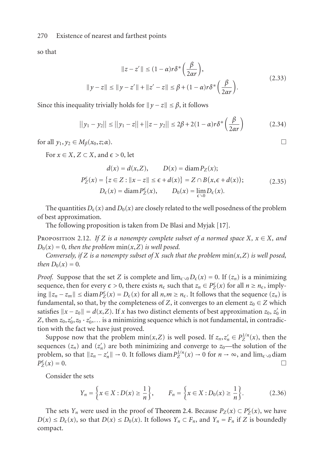so that

$$
||z - z'|| \le (1 - \alpha)r\delta^* \left(\frac{\beta}{2\alpha r}\right),
$$
  

$$
||y - z|| \le ||y - z'|| + ||z' - z|| \le \beta + (1 - \alpha)r\delta^* \left(\frac{\beta}{2\alpha r}\right).
$$
 (2.33)

Since this inequality trivially holds for  $\|y - z\| \leq \beta$ , it follows

$$
||y_1 - y_2|| \le ||y_1 - z|| + ||z - y_2|| \le 2\beta + 2(1 - \alpha)r\delta^* \left(\frac{\beta}{2\alpha r}\right)
$$
 (2.34)

<span id="page-11-0"></span>for all  $y_1, y_2 \in M_\beta(x_0, z; \alpha)$ .

For  $x \in X$ ,  $Z \subset X$ , and  $\epsilon > 0$ , let

$$
d(x) = d(x, Z), \qquad D(x) = \text{diam}\, P_Z(x);
$$
  
\n
$$
P_Z^{\epsilon}(x) = \{z \in Z : ||x - z|| \le \epsilon + d(x)\} = Z \cap B(x, \epsilon + d(x));
$$
  
\n
$$
D_{\epsilon}(x) = \text{diam}\, P_Z^{\epsilon}(x), \qquad D_0(x) = \lim_{\epsilon \searrow 0} D_{\epsilon}(x).
$$
\n(2.35)

The quantities  $D_{\epsilon}(x)$  and  $D_{0}(x)$  are closely related to the well posedness of the problem of best approximation.

The following proposition is taken from De Blasi and Myjak [17].

PROPOSITION 2.12. If *Z* is a nonempty complete subset of a normed space  $X, x \in X$ , and  $D_0(x) = 0$ , then the problem  $min(x, Z)$  *is well posed.* 

*Conversely, if Z is a nonempty subset of X such that the problem* min(*x*,*Z*) *is well posed, then*  $D_0(x) = 0$ *.* 

*Proof.* Suppose that the set *Z* is complete and  $\lim_{\epsilon \to 0} D_{\epsilon}(x) = 0$ . If  $(z_n)$  is a minimizing sequence, then for every  $\epsilon > 0$ , there exists  $n_{\epsilon}$  such that  $z_n \in P_Z^{\epsilon}(x)$  for all  $n \ge n_{\epsilon}$ , imply- $\lim_{n \to \infty}$  || ≤ diam $P^{\epsilon}_Z(x) = D_{\epsilon}(x)$  for all  $n, m ≥ n_{\epsilon}$ . It follows that the sequence  $(z_n)$  is fundamental, so that, by the completeness of *Z*, it converges to an element  $z_0 \in Z$  which satisfies  $||x - z_0|| = d(x, Z)$ . If *x* has two distinct elements of best approximation  $z_0$ ,  $z'_0$  in Z, then  $z_0, z'_0, z_0 \cdot z'_0, \ldots$  is a minimizing sequence which is not fundamental, in contradiction with the fact we have just proved.

Su[p](#page-6-0)pose now that the problem  $min(x, Z)$  $min(x, Z)$  [is](#page-6-0) [well](#page-6-0) posed. If  $z_n, z'_n \in P_Z^{1/n}(x)$ , then the sequences  $(z_n)$  and  $(z'_n)$  are both minimizing and converge to  $z_0$ —the solution of the problem, so that  $||z_n - z_n'|| \to 0$ . It follows diam  $P_Z^{1/n}(x) \to 0$  for  $n \to \infty$ , and  $\lim_{\epsilon \to 0}$  diam  $P_{Z}^{\epsilon}(x) = 0.$  $\sum_{Z}^{\epsilon}(x) = 0.$ 

Consider the sets

$$
Y_n = \left\{ x \in X : D(x) \ge \frac{1}{n} \right\}, \qquad F_n = \left\{ x \in X : D_0(x) \ge \frac{1}{n} \right\}. \tag{2.36}
$$

The sets *Y<sub>n</sub>* were used in the proof of Theorem 2.4. Because  $P_Z(x) \subset P_Z^{\epsilon}(x)$ , we have *D*(*x*) ≤ *D*<sub> $\epsilon$ </sub>(*x*), so that *D*(*x*) ≤ *D*<sub>0</sub>(*x*). It follows *Y<sub>n</sub>* ⊂ *F<sub>n</sub>*, and *Y<sub>n</sub>* = *F<sub>n</sub>* if *Z* is boundedly compact.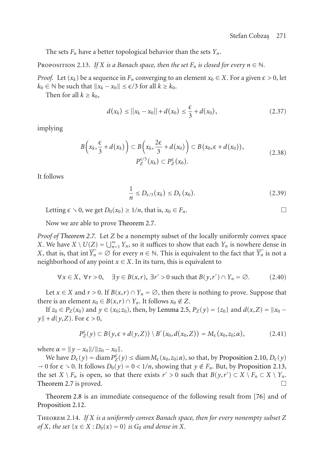<span id="page-12-0"></span>The sets  $F_n$  have a better topological behavior than the sets  $Y_n$ .

PROPOSITION 2.13. *If X is a Banach space, then the set*  $F_n$  *is closed for every*  $n \in \mathbb{N}$ *.* 

*Proof.* Let  $(x_k)$  be a sequence in  $F_n$  converging to an element  $x_0 \in X$ . For a given  $\epsilon > 0$ , let  $k_0$  ∈  $\mathbb N$  be such that  $||x_k - x_0|| \le \epsilon/3$  for all  $k \ge k_0$ .

Then for all  $k \geq k_0$ ,

$$
d(x_k) \le ||x_k - x_0|| + d(x_0) \le \frac{\epsilon}{3} + d(x_0), \tag{2.37}
$$

implying

$$
B\left(x_k, \frac{\epsilon}{3} + d(x_k)\right) \subset B\left(x_k, \frac{2\epsilon}{3} + d(x_0)\right) \subset B(x_0, \epsilon + d(x_0)),
$$
  
\n
$$
P_Z^{\epsilon/3}(x_k) \subset P_Z^{\epsilon}(x_0).
$$
\n(2.38)

It follows

$$
\frac{1}{n} \le D_{\epsilon/3}(x_k) \le D_{\epsilon}(x_0). \tag{2.39}
$$

Letting  $\epsilon \searrow 0$ , we get  $D_0(x_0) \geq 1/n$ , that is,  $x_0 \in F_n$ .

Now we are able to prove Theorem 2.7.

*Proof of Theorem 2.7.* Let *Z* be a nonemp[ty](#page-6-1) [subset](#page-6-1) [of](#page-6-1) [t](#page-6-1)he locally uniformly convex space *X*. We have  $X \setminus U(Z) = \bigcup_{n=1}^{\infty} Y_n$ , so it suffices to show that each  $Y_n$  is nowhere dense in *X*, that is, that int  $\overline{Y_n} = \emptyset$  for every  $n \in \mathbb{N}$ . This is equivalent to the fact that  $\overline{Y_n}$  is not a neighborhood of any point  $x \in X$ . In its turn, this is equivalent to

$$
\forall x \in X, \ \forall r > 0, \quad \exists y \in B(x, r), \ \exists r' > 0 \text{ such that } B(y, r') \cap Y_n = \emptyset. \tag{2.40}
$$

Let  $x \in X$  and  $r > 0$ . If  $B(x,r) \cap Y_n = \emptyset$ , then there is nothing to pr[ove.](#page-12-0) [Suppose](#page-12-0) [that](#page-12-0) [there is an ele](#page-7-0)ment  $x_0 \in B(x,r) \cap Y_n$ . It follows  $x_0 \notin Z$ .

If  $z_0 \in P_Z(x_0)$  and  $y \in (x_0; z_0)$ , then, by Lemma 2.5,  $P_Z(y) = \{z_0\}$  and  $d(x, Z) = ||x_0 - z_0||$  $\|y\| + d(y, Z)$ . For  $\epsilon > 0$ ,

$$
P_Z^{\epsilon}(y) \subset B(y, \epsilon + d(y, Z)) \setminus B'(x_0, d(x_0, Z)) = M_{\epsilon}(x_0, z_0; \alpha), \qquad (2.41)
$$

where  $\alpha = ||y - x_0|| / ||z_0 - x_0||$ .

We have  $D_{\epsilon}(y) = \text{diam}\, P_Z^{\epsilon}(y) \le \text{diam}\, M_{\epsilon}(x_0, z_0; \alpha)$ , so that, by Proposition 2.10,  $D_{\epsilon}(y)$  $\rightarrow$  0 for  $\epsilon \rightarrow$  0. It follows  $D_0(y) = 0 < 1/n$ , showing that  $y \notin F_n$ . But, by Proposition 2.13, the set  $X \setminus F_n$  is open, so that there exists  $r' > 0$  such that  $B(y, r') \subset X \setminus F_n \subset X \setminus Y_n$ . Theorem 2.7 is proved.

Theorem 2.8 is an immediate consequence of the following result from [76] and of Proposition 2.12.

Theorem 2.14. *If X is a uniformly convex Banach space, then for every nonempty subset Z of X, the set*  $\{x \in X : D_0(x) = 0\}$  *is*  $G_\delta$  *and dense in X.*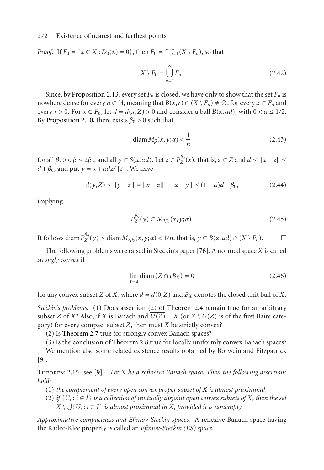*Proof.* If  $F_0 = \{x \in X : D_0(x) = 0\}$ , then  $F_0 = \bigcap_{n=1}^{\infty} (X \setminus F_n)$ , so that

$$
X \setminus F_0 = \bigcup_{n=1}^{\infty} F_n. \tag{2.42}
$$

Since, by Proposition 2.13, every set  $F_n$  is closed, we have only to show that the set  $F_n$  is nowhere dense for every  $n \in \mathbb{N}$ , meaning that  $B(x,r) \cap (X \setminus F_n) \neq \emptyset$ , for every  $x \in F_n$  and every  $r > 0$ . For  $x \in F_n$ , let  $d = d(x, Z) > 0$  and consider a ball  $B(x, \alpha d)$ , with  $0 < \alpha \leq 1/2$ . By Proposition 2.10, there exists  $\beta_0 > 0$  such that

$$
diam M_{\beta}(x, y; \alpha) < \frac{1}{n} \tag{2.43}
$$

*f* or all *β*, 0 < *β* ≤ 2*β*<sub>0</sub>, and all *y* ∈ *S*(*x*, α*d*). Let *z* ∈ *P*<sup>β<sub>0</sub></sup><sub>*Z*</sub>(*x*), that is, *z* ∈ *Z* and *d* ≤  $||x - z||$  ≤  $d + \beta_0$ , and put  $y = x + \alpha dz / ||z||$ . We have

$$
d(y,Z) \le ||y - z|| = ||x - z|| - ||x - y|| \le (1 - \alpha)d + \beta_0,
$$
\n(2.44)

implying

$$
P_Z^{\beta_0}(y) \subset M_{2\beta_0}(x, y; \alpha). \tag{2.45}
$$

It follows diam  $P_Z^{\beta_0}(y) \leq \text{diam } M_{2\beta_0}(x, y; \alpha) < 1/n$ , that is,  $y \in B(x, \alpha d) \cap (X \setminus F_n)$ .

The f[ollowing prob](#page-7-0)lems were raised in Steckin's paper [76]. A normed space *X* is called *strongly convex* if

$$
\lim_{t \to d} \text{diam}\left(Z \cap tB_X\right) = 0\tag{2.46}
$$

for any convex subse[t](#page-23-0) *Z* of *X*, where  $d = d(0, Z)$  and  $B_X$  denotes the closed unit ball of *X*.

*Stečkin's problems.* (1) Does assertion (2) of Theorem 2.4 remain true for an arbitrary subset *Z* of *X*? Also, if *X* is Banach and  $\overline{U(Z)} = X$  (or  $X \setminus U(Z)$  is of the first Baire category) for every compact subset *Z*, then must *X* be strictly convex?

(2) Is Theorem 2.7 true for strongly convex Banach spaces?

(3) Is the conclusion of Theorem 2.8 true for locally uniformly convex Banach spaces? We mention also some related existence results obtained by Borwein and Fitzpatrick [9].

Theorem 2.15 (see [9]). *Let X be a reflexive Banach space. Then the following assertions hold:*

- (1) *the complement of every open convex proper subset of X is almost proximinal,*
- (2) *if*  $\{U_i : i \in I\}$  *is a collection of mutually disjoint open convex subsets of X, then the set*  $X \setminus \bigcup \{U_i : i \in I\}$  *is almost proximinal in X, provided it is nonempty.*

*Approximative compactness and Efimov-Stečkin spaces.* A reflexive Banach space having the Kadec-Klee property is called an *Efimov-Steˇckin (ES) space*.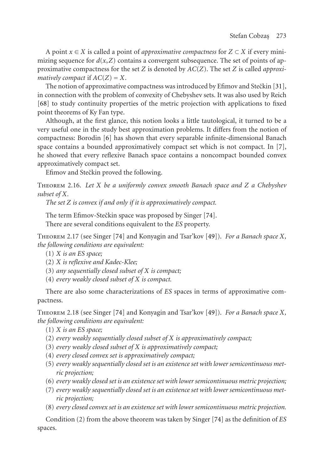A point  $x \in X$  is called a point of *approximative compactness* for  $Z \subset X$  if every minimizing sequence for  $d(x, Z)$  $d(x, Z)$  $d(x, Z)$  contains a convergent subsequence. The set of points of approximative compactness for the set *Z* is denoted by *AC*(*Z*). The set *Z* is called *appr[oxi](#page-23-2)matively compact* if  $AC(Z) = X$ .

The notion of approximative compactness was introduced by  $E$ fimov and Stečkin [31], in connection with the problem of convexity of Chebyshev sets. It was also used by Reich [68] to study continuity properties of the metric projection with applications to fixed point theorems of Ky Fan type.

Although, at the first glance, this notion looks a little tautological, it turned to be a very useful one in the study best approximation problems. It differs from the notion of compactness: Borodin [6] has shown that every separable [infi](#page-26-1)nite-dimensional Banach space contains a bounded approximatively compact set which is not compact. In [7], he showed that every refle[xive](#page-26-1) Banach space contains a n[onco](#page-25-1)mpact bounded convex approximatively compact set.

Efimov and Stečkin proved the following.

Theorem 2.16. *Let X be a uniformly convex smooth Banach space and Z a Chebyshev subset of X.*

*The set Z is convex if and only if it is approximatively compact.*

The term Efimov-Stečkin space was proposed by Singer [74]. There are several conditions equivalent to the *ES* property.

Theorem 2.17 (see Singer [\[74\]](#page-26-1) and Konyagin and Tsar'kov [\[49\]](#page-25-1)). *For a Banach space X, the following conditions are equivalent:*

(1) *X is an ES space;*

- (2) *X is reflexive and Kadec-Klee;*
- (3) *any sequentially closed subset of X is compact;*

(4) *every weakly closed subset of X is compact.*

There are also some characterizations of *ES* spaces in terms of approximative compactness.

Theorem 2.18 (see Singer [74] and Konyagin and Tsar'kov [49]). *For a Banach space X, the following conditions are equivalent:*

(1) *X is an ES space;*

- (2) *every weakly sequentially closed subset of X is approximat[ivel](#page-26-1)y compact;*
- (3) *every weakly closed subset of X is approximatively compact;*
- (4) *every closed convex set is approximatively compact;*
- (5) *every weakly sequentially closed set is an existence set with lower semicontinuous metric projection;*
- (6) *every weakly closed set is an existence set with lower semicontinuous metric projection;*
- (7) *every weakly sequentially closed set is an existence set with lower semicontinuous metric projection;*
- (8) *every closed convex set is an existence set with lower semicontinuous metric projection.*

Condition (2) from the above theorem was taken by Singer [74] as the definition of *ES* spaces.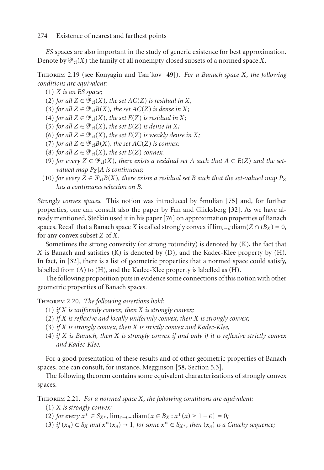*ES* spaces are also important in the study of generic existence for best approximation. Denote by  $\mathfrak{P}_{\text{cl}}(X)$  the family of all nonempty closed subsets of a normed space  $X.$ 

Theorem 2.19 (see Konyagin and Tsar'kov [49]). *For a Banach space X, the following conditions are equivalent:*

- (1) *X is an ES space;*
- (2) *for all*  $Z \in \mathcal{P}_{cl}(X)$ *, the set*  $AC(Z)$  *is residual in*  $X$ *;*
- (3) *for all*  $Z \in \mathcal{P}_{cl}B(X)$ *, the set*  $AC(Z)$  *is dense in*  $X$ *;*
- (4) *for all*  $Z \in \mathcal{P}_{cl}(X)$ *, the set*  $E(Z)$  *is residual in*  $X$ *;*
- $(5)$  *for all*  $Z \in \mathcal{P}_{cl}(X)$ *, the set*  $E(Z)$  *is dense in*  $X$ *;*
- (6) *for all*  $Z \in \mathcal{P}_{cl}(X)$ *, the set*  $E(Z)$  *is weakly dense in*  $X$ *;*
- $(7)$  *for all*  $Z \in \mathcal{P}_{cl}B(X)$ *, the set*  $AC(Z)$  *is co[nne](#page-26-0)x*;
- (8) *for all*  $Z \in \mathcal{P}_{cl}(X)$ *, the set*  $E(Z)$  *connex.*
- (9) *for every*  $Z \in \mathcal{P}_{cl}(X)$ *, there exists a residual set A such that*  $A \subset E(Z)$  *and the setvalued map*  $P_Z$  |*A is continuous;*
- $(10)$  for every  $Z \in \mathcal{P}_{cl}B(X)$ , there exists a residual set B such that the set-valued map  $P_Z$ *has [a](#page-24-2) [co](#page-24-2)ntinuous selection on B.*

<span id="page-15-0"></span>*Strongly convex spaces.* This notion was introduced by Smulian [75] and, for further properties, one can consult also the paper by Fan and Glicksberg [32]. As we have already mentioned, Steckin used it in his paper [ ˇ 76] on approximation properties of Banach spaces. Recall that a Banach space *X* is called strongly convex if  $\lim_{t\to d} \text{diam}(Z \cap tB_X) = 0$ , for any convex subset *Z* of *X*.

Sometimes the strong convexity (or strong rotundity) is denoted by  $(K)$ , the fact that *X* is Banach and satisfies (K) is denoted by (D), and the Kadec-Klee property by (H). In fact, in [32], there is a list of geometric properties that a normed space could satisfy, labelled from (A) to (H), and the Kadec-Klee property is labelled as (H).

The following proposition puts in evidence some connections of this notion with other geometric properties of Banach spaces.

Theorem 2.20. *The following assertions hold:*

- (1) *if X is uniformly convex, then X is strongly convex;*
- (2) *if X is reflexive and locally uniformly convex, then X is strongly convex;*
- (3) *if X is strongly convex, then X is strictly convex and Kadec-Klee,*
- (4) *if X is Banach, then X is strongly convex if and only if it is reflexive strictly convex and Kadec-Klee.*

For a good presentation of these results and of other geometric properties of Banach spaces, one can consult, for instance, Megginson [58, Section 5.3].

The following theorem contains some equivalent characterizations of strongly convex spaces.

Theorem 2.21. *For a normed space X, the following conditions are equivalent:*

(1) *X is strongly convex;*

(2) *for every*  $x^* \in S_{X^*}$ ,  $\lim_{\epsilon \to 0^+} \text{diam}\{x \in B_X : x^*(x) \ge 1 - \epsilon\} = 0$ ;

(3) *if*  $(x_n) \subset S_X$  *and*  $x^*(x_n) \to 1$ *, for some*  $x^* \in S_{X^*}$ *, then*  $(x_n)$  *is a Cauchy sequence*;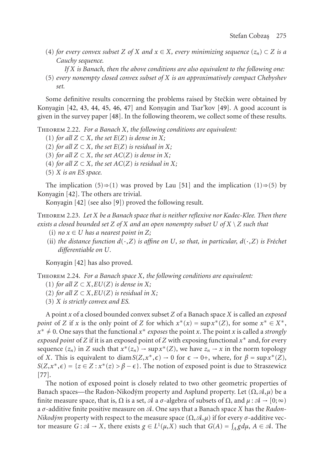- (4) *for every convex subset Z of X and*  $x \in X$ *, every minimizing sequence*  $(z_n) \subset Z$  *is a Cauchy sequence.*
- *If X is Banach, then the above conditions are also equivalent to the following one:* (5) *every nonempty closed convex subset of X is an approximatively compact Chebyshev set.*

Some definitive results concerning the problems raised by Steckin were obtained by Konyagin [42, 43, 44, 45, 46, 47] and Konyagin [and](#page-25-2) Tsar'kov [49]. A good account is given in th[e su](#page-25-3)rvey paper [48]. In the following theorem, we collect some of these results.

Theorem 2.2[2.](#page-25-3) *For a Bana[ch](#page-23-0) X, the following conditions are equivalent:*

(1) *for all*  $Z$  ⊂  $X$ *, the set*  $E(Z)$  *is dense in*  $X$ *;* 

(2) *for all*  $Z \subset X$ *, the set*  $E(Z)$  *is residual in*  $X$ *;* (3) *for all*  $Z \subset X$ *, the set*  $AC(Z)$  *is dense in*  $X$ *;* 

(4) *for all*  $Z \subset X$ *, the set*  $AC(Z)$  *is residual in*  $X$ *;* 

(5) *X is an ES space.*

The impli[cati](#page-25-3)on (5)⇒(1) was proved by Lau [51] and the implication (1)⇒(5) by Konyagin [42]. The others are trivial.

Konyagin [42] (see also [9]) proved the following result.

Theorem 2.23. *Let X be a Banach space that is neither reflexive nor Kadec-Klee. Then there exists a closed bounded set Z of X and an open nonempty subset U of X* \ *Z such that*

- (i) *no*  $x \in U$  *has a nearest point in*  $Z$ ;
- (ii) the distance function  $d(\cdot, Z)$  is affine on U, so that, in particular,  $d(\cdot, Z)$  is Fréchet *differentiable on U.*

Konyagin [42] has also proved.

Theorem 2.24. *For a Banach space X, the following conditions are equivalent:*

(1) *for all*  $Z$  ⊂  $X$ *, EU*( $Z$ ) *is dense in*  $X$ *;* 

[\(](#page-26-2)2) for all  $Z \subset X$ ,  $EU(Z)$  is residual in X;

(3) *X is strictly convex and ES.*

A point *x* of a closed bounded convex subset *Z* of a Banach space *X* is called an *exposed point* of *Z* if *x* is the only point of *Z* for which  $x^*(x) = \sup x^*(Z)$ , for some  $x^* \in X^*$ ,  $x^* \neq 0$ . One says that the functional  $x^*$  *exposes* the point *x*. The point *x* is called a *strongly exposed point* of *Z* if it is an exposed point of *Z* with exposing functional *x*<sup>∗</sup> and, for every sequence  $(z_n)$  in *Z* such that  $x^*(z_n) \to \sup x^*(Z)$ , we have  $z_n \to x$  in the norm topology of *X*. This is equivalent to diam  $S(Z, x^*, \epsilon) \to 0$  for  $\epsilon \to 0^+$ , where, for  $\beta = \sup x^*(Z)$ ,  $S(Z, x^*, \epsilon) = \{z \in Z : x^*(z) > \beta - \epsilon\}.$  The notion of exposed point is due to Straszewicz [77].

The notion of exposed point is closely related to two other geometric properties of Banach spaces—the Radon-Nikodým property and Asplund property. Let  $(\Omega, \mathcal{A}, \mu)$  be a finite measure space, that is,  $\Omega$  is a set,  $\mathcal A$  a  $\sigma$ -algebra of subsets of  $\Omega$ , and  $\mu : \mathcal A \to [0, \infty)$ a *σ*-additive finite positive measure on *A*. One says that a Banach space *X* has the *Radon*-*Nikodým* property with respect to the measure space  $(\Omega, \mathcal{A}, \mu)$  if for every *σ*-additive vector measure  $G: \mathcal{A} \to X$ , there exists  $g \in L^1(\mu, X)$  such that  $G(A) = \int_A g d\mu$ ,  $A \in \mathcal{A}$ . The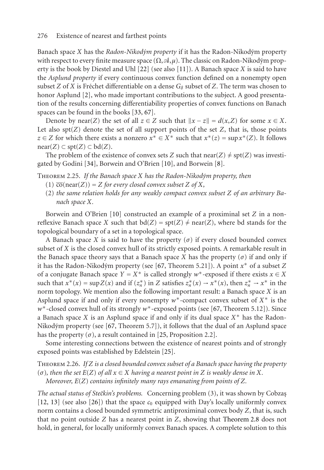Banach space *X* has the *Radon-Nikodym property ´* if it has the Radon-Nikodym property ´ with respect to every finite measure space  $(\Omega, \mathcal{A}, \mu)$ . The classic on Radon-Nikodým property is the book by Diestel and Uhl [22] (see also [11]). A Banach space *X* is said to have the *Asplund property* if every continuous convex function defined on a nonempty open subset *Z* of *X* is Fréchet differentiable on a d[ense](#page-23-3)  $G_{\delta}$  subset of *Z*[. T](#page-23-4)he term was chosen to honor Asplund [2], who made important contributions to the subject. A good presentation of the results concerning differentiability properties of convex functions on Banach spaces can be found in the books [33, 67].

Denote by near(*Z*) the set of all  $z \in Z$  such that  $||x - z|| = d(x, Z)$  for some  $x \in X$ . Let also  $spt(Z)$  denote the set of all support points of the set  $Z$ , that is, those points *z* ∈ *Z* for which there exi[sts](#page-23-3) [a](#page-23-3) nonzero  $x^*$  ∈  $X^*$  such that  $x^*(z) = \sup x^*(Z)$ . It follows near(*Z*) ⊂ spt(*Z*) ⊂ bd(*Z*).

The problem of the existence of convex sets *Z* such that  $near(Z) \neq \text{spt}(Z)$  was investigated by Godini [34], Borwein and O'Brien [10], and Borwein [8].

#### Theorem 2.25. *If the Banach space X has the Radon-Nikodym property, then ´*

- $(1)$   $\overline{co}(\text{near}(Z)) = Z$  *for every closed con[vex](#page-26-3) subset Z of X,*
- (2) *the same relation holds for any weakly compact convex subset Z of an arbitrary Banach space X.*

Borwein and O'Brien [10] constructed an example of a proximinal set *Z* in a nonreflexive Banach space *X* such that  $bd(Z) = spt(Z) \neq near(Z)$ , where bd stands for the topological boundary of a set in a topological space.

A Banach space *X* is said to have the property ( $\sigma$ ) if every closed bounded convex subset of *X* is the closed [con](#page-26-3)vex hull of its strictly exposed points. A remarkable result in the Banac[h sp](#page-24-5)ace theory says that a Banach space *X* has the property  $(\sigma)$  if and only if it has the Radon-Nikodým property (see [67, Theorem 5.21]). A point  $x^*$  of a subset *Z* of a conjugate Banach space  $Y = X^*$  is calle[d st](#page-24-5)rongly  $w^*$ -exposed if there exists  $x \in X$ such that  $x^*(x) = \sup Z(x)$  and if  $(z_n^*)$  in *Z* satisfies  $z_n^*(x) \to x^*(x)$ , then  $z_n^* \to x^*$  in the norm topology. We mention also the following important result: a Banach space *X* is an Asplund space if and only if every nonempty *w*<sup>∗</sup>-compact convex subset of *X*<sup>∗</sup> is the *w*<sup>∗</sup>-closed convex hull of its strongly *w*<sup>∗</sup>-exposed points (see [67, Theorem 5.12]). Since a Banach space *X* is an Asplund space if and only if its dual space *X*<sup>∗</sup> has the Radon-[Nik](#page-24-6)odým property [\(se](#page-24-8)e  $[67,$  Theorem 5.7]), it follows that the dual of an Asplund space has the property  $(\sigma)$ , a result contained in [25, Proposition 2.2].

Some interesting connections between the existence of nearest [points](#page-8-1) [and](#page-8-1) [o](#page-8-1)f strongly exposed points was established by Edelstein [25].

Theorem 2.26. *If Z is a closed bounded convex subset of a Banach space having the property*  $(σ)$ , then the set  $E(Z)$  *of all*  $x \in X$  *having a nearest point in Z is weakly dense in X.* 

*Moreover, E*(*Z*) *contains infinitely many rays emanating from points of Z.*

The actual status of Stečkin's problems. Concerning problem (3), it was shown by Cobzaș [12, 13] (see also [26]) that the space  $c_0$  equipped with Day's locally uniformly convex norm contains a closed bounded symmetric antiproximinal convex body *Z*, that is, such that no point outside *Z* has a nearest point in *Z*, showing that Theorem 2.8 does not hold, in general, for locally uniformly convex Banach spaces. A complete solution to this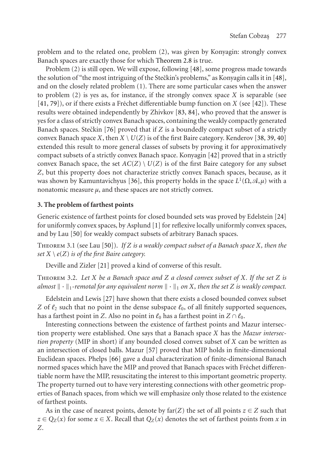problem and to the rel[ated](#page-26-0) one, problem (2), was given by Konyagin: strongly convex Banach spaces are exactly those for which Theorem 2.8 is true.

Problem (2) is still open. We will expose, following [48], some progress made towards the solution of "the most intriguing of the Steckin's problems,[" as](#page-25-3) Konyagin calls it in [48], and on the closely related problem (1). There are some particular cases when the answer to problem (2) is yes as, for instance, if the strongly convex space *X* is separable (see  $[41, 79]$ , or if there exists a Fréc[het](#page-24-9) differentiable bump function on *X* (see  $[42]$ ). These results were obtained independently by Zhivkov [83, 84], who proved that the answer is yes for a class of strictly convex Banach spaces, containing the weakly compactly generated Banach spaces. Steckin [76] proved that if *Z* is a boundedly compact subset of a strictly convex Banach space *X*, then  $X \setminus U(Z)$  is of the first Baire category. Kenderov [38, 39, [40\]](#page-24-10) extended this result to more general clas[ses](#page-23-5) of subsets by proving it for approximatively compact su[bset](#page-25-4)s of a strictly convex Banach space. Konyagin [42] proved that in a strictly convex Banach space, t[he](#page-25-4) set  $AC(Z) \setminus U(Z)$  is of the first Baire category for any subset *Z*, but this property does not characterize strictly convex Banach spaces, because, as it was shown by Kamuntavichyus [36], this property holds in the space  $L^1(\Omega, \mathcal{A}, \mu)$  with a nonatomic measure  $\mu$ [,](#page-24-11) [an](#page-24-11)d these spaces are not strictly convex.

#### **3. The problem of farthest points**

Generic existence of far[thes](#page-24-12)t points for closed bounded sets was proved by Edelstein [24] for uniformly convex spaces, by Asplund [1] for reflexive locally uniformly convex spaces, and by Lau [50] for weakly compact subsets of arbitrary Banach spaces.

Theorem 3.1 (see Lau [50]). *If Z is a weakly compact subset of a Banach space X, then the set*  $X \setminus e(Z)$  *is of the first Baire category.* 

Deville and Zizler [21] proved a kind of converse of this result.

Theorem 3.2. *Let X be a [Ba](#page-26-4)nach spac[e](#page-25-5) [an](#page-25-5)d Z a closed convex subset of X. If the set Z is* almost  $\|\cdot\|_1$ -remotal for any equivalent norm  $\|\cdot\|_1$  on X, then the set Z is weakly compact.

Edelstein and Lewis [27] have shown that there exists a closed bounded convex subset *Z* of  $\ell_2$  such that no point in the dense subspace  $\ell_0$ , of all finitely supported sequences, has a farthest point in *Z*. Also no point in  $\ell_0$  has a farthest point in  $Z \cap \ell_0$ .

Interesting connections between the existence of farthest points and Mazur intersection property were established. One says that a Banach space *X* has the *Mazur intersection property* (MIP in short) if any bounded closed convex subset of *X* can be written as an intersection of closed balls. Mazur [57] proved that MIP holds in finite-dimensional Euclidean spaces. Phelps [66] gave a dual characterization of finite-dimensional Banach normed spaces which have the MIP and proved that Banach spaces with Fréchet differentiable norm have the MIP, resuscitating the interest to this important geometric property. The property turned out to have very interesting connections with other geometric properties of Banach spaces, from which we will emphasize only those related to the existence of farthest points.

As in the case of nearest points, denote by  $\text{far}(Z)$  the set of all points  $z \in Z$  such that *z* ∈  $Q_Z(x)$  for some *x* ∈ *X*. Recall that  $Q_Z(x)$  denotes the set of farthest points from *x* in *Z*.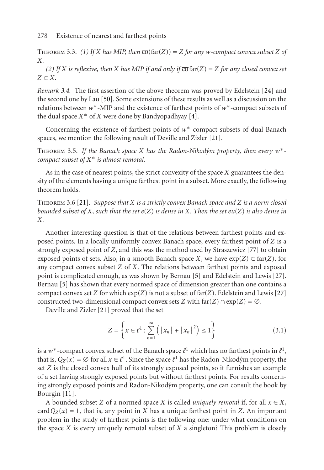THEOREM 3.3. *(1) If X has MIP, then*  $\overline{co}(\text{far}(Z)) = Z$  *for any w-compact convex subset Z of X.*

*(2) If X is reflexive, then X has MIP if and only if*  $\overline{co}$  far $(Z) = Z$  *for any closed convex set Z* ⊂ *X.*

*Remark 3.4.* The first assertion of the above theorem was proved by Edelstein [24] and the second one by Lau [50]. Some extensions of these results as well as a discussion on the relations between *w*<sup>∗</sup>-MIP and the existence of farthest points of *w*<sup>∗</sup>-compact subsets of the dual space  $X^*$  of  $X$  were done by Bandyopadhyay [4].

Concernin[g](#page-24-11) [th](#page-24-11)e existence of farthest points of *w*<sup>∗</sup>-compact subsets of dual Banach spaces, we mention the following result of Deville and Zizler [21].

THEOREM 3.5. If the Banach space *X* has the Radon-Nikodým property, then every  $w^*$ *compact subset of X*<sup>∗</sup> *is almost remotal.*

As in the case of nearest points, the strict convexity of the space *X* guara[ntee](#page-26-2)s the density of the elements having a unique farthest point in a subset. More exactly, the following theorem holds.

Theore[m](#page-23-6) 3.6 [21]. *Suppose that X is a strictly convex B[ana](#page-23-6)ch space and Z is a norm c[losed](#page-24-12) bounded subset of X, such that the set e*(*Z*) *is dense in X. Then the set eu*(*Z*) *is also den[se in](#page-24-12) X.*

Another interestin[g qu](#page-24-11)estion is that of the relations between farthest points and exposed points. In a locally uniformly convex Banach space, every farthest point of *Z* is a strongly exposed point of *Z*, and this was the method used by Straszewicz [77] to obtain exposed points of sets. Also, in a smooth Banach space *X*, we have  $exp(Z) \subset far(Z)$ , for any compact convex subset *Z* of *X*. The relations between farthest points and exposed point is complicated enough, as was shown by Bernau [5] and Edelstein and Lewis [27]. Bernau [5] has shown that every normed space of dimension greater than one contains a compact convex set *Z* for which  $exp(Z)$  is not a subset of  $far(Z)$ . Edelstein and Lewis [27] constructed two-dimensional compact convex sets *Z* with  $\text{far}(Z) \cap \text{exp}(Z) = \emptyset$ .

Devill[e an](#page-23-7)d Zizler [21] proved that the set

$$
Z = \left\{ x \in \ell^1 : \sum_{n=1}^{\infty} \left( |x_n| + |x_n|^2 \right) \le 1 \right\}
$$
 (3.1)

is a w<sup>\*</sup>-compact convex subset of the Banach space  $\ell^1$  which has no farthest points in  $\ell^1$ , that is,  $Q_Z(x) = \emptyset$  for all  $x \in \ell^1$ . Since the space  $\ell^1$  has the Radon-Nikodým property, the set *Z* is the closed convex hull of its strongly exposed points, so it furnishes an example of a set having strongly exposed points but without farthest points. For results concerning strongly exposed points and Radon-Nikodým property, one can consult the book by Bourgin [11].

A bounded subset *Z* of a normed space *X* is called *uniquely remotal* if, for all  $x \in X$ , card  $Q_Z(x) = 1$ , that is, any point in *X* has a unique farthest point in *Z*. An important problem in the study of farthest points is the following one: under what conditions on the space *X* is every uniquely remotal subset of *X* a singleton? This problem is closely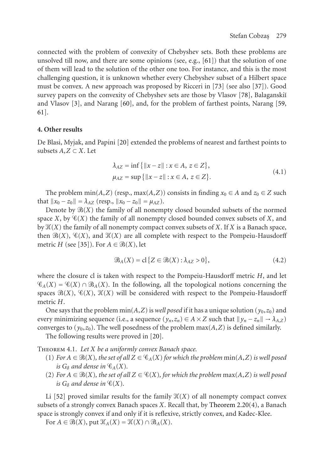connected with the problem of convexity of Chebyshev sets. Both these problems are unsolved till now, and there [are](#page-24-13) some opinions (see, e.g.,  $[61]$ ) that the solution of one of them will lead to the solution of the other one too. For instance, and this is the most challenging question, it is unknown whether every Chebyshev subset of a Hilbert space must be convex. A new approach was proposed by Ricceri in [73] (see also [37]). Good survey papers on the convexity of Chebyshev sets are those by Vlasov [78], Balaganskiı̆ and Vlasov [3], and Narang [60], and, for the problem of farthest points, Narang [59, 61].

## **4. Other results**

De Blasi, Myjak, and Papini [20] extended the problems of nearest and farthest points to subsets  $A, Z \subset X$ . Let

$$
\lambda_{AZ} = \inf \{ \|x - z\| : x \in A, z \in Z \},\
$$
  

$$
\mu_{AZ} = \sup \{ \|x - z\| : x \in A, z \in Z \}.
$$
  
(4.1)

The problem  $min(A, Z)$  (resp.,  $max(A, Z)$ ) consists in finding  $x_0 \in A$  and  $z_0 \in Z$  such that  $||x_0 - z_0|| = \lambda_{AZ}$  (resp.,  $||x_0 - z_0|| = \mu_{AZ}$ ).

Denote by  $\mathcal{B}(X)$  the family of all nonempty closed bounded subsets of the normed space *X*, by  $\mathcal{C}(X)$  the family of all nonempty closed bounded convex subsets of *X*, and by (*X*) the family of all nonempty compact convex subsets of *X*. If *X* is a Banach space, then  $\mathcal{B}(X)$ ,  $\mathcal{C}(X)$ , and  $\mathcal{K}(X)$  are all complete with respect to the Pompeiu-Hausdorff metric *H* (see [35]). For  $A \in \mathcal{B}(X)$ , let

$$
\mathcal{B}_A(X) = \text{cl} \{ Z \in \mathcal{B}(X) : \lambda_{A Z} > 0 \},\tag{4.2}
$$

where the closure cl is taken with respect to the Pompeiu-Hausdorff metric *H*, and let  $\mathscr{C}_A(X) = \mathscr{C}(X) \cap \mathscr{B}_A(X)$ . In the following, all the topological notions concerning the spaces  $\mathcal{B}(X)$ ,  $\mathcal{C}(X)$ ,  $\mathcal{X}(X)$  will be considered with respect to the Pompeiu-Hausdorff metric *H*.

One says that the problem  $min(A, Z)$  is *well posed* if it has a unique solution ( $y_0, z_0$ ) and every [min](#page-25-6)imizing sequence (i.e., a sequence  $(y_n, z_n) \in A \times Z$  such that  $||y_n - z_n|| \to \lambda_{A,Z}$ ) converges to  $(y_0, z_0)$ . The well posedness of the problem max $(A, Z)$  is defined similarly.

The following results were proved in [20].

Theorem 4.1. *Let X be a uniformly convex Banach space.*

- (1) *For*  $A \in \mathcal{B}(X)$ *, the set of all*  $Z \in \mathcal{C}_A(X)$  *for which the problem*  $\min(A, Z)$  *is well posed is*  $G_{\delta}$  *and dense in*  $\mathcal{C}_{A}(X)$ *.*
- (2) *For*  $A \in \mathcal{B}(X)$ *, the set of all*  $Z \in \mathcal{C}(X)$ *, for which the problem*  $max(A, Z)$  *is well posed is*  $G_{\delta}$  *and dense in*  $\mathcal{C}(X)$ *.*

Li [52] proved similar results for the family  $\mathcal{K}(X)$  of all nonempty compact convex subsets of a strongly convex Banach spaces *X*. Recall that, by Theorem 2.20(4), a Banach space is strongly convex if and only if it is reflexive, strictly convex, and Kadec-Klee.

For  $A \in \mathcal{B}(X)$ , put  $\mathcal{K}_A(X) = \mathcal{K}(X) \cap \mathcal{B}_A(X)$ .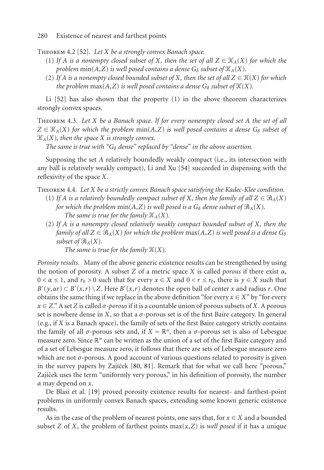Theorem 4.2 [52]. *Let X be a strongly convex Banach space.*

- (1) If *A* is a nonempty closed subset of *X*, then the set of all  $Z \in \mathcal{K}_A(X)$  for which the *problem* min(*A*,*Z*) *is well posed contains a dense*  $G_{\delta}$  *subset of*  $\mathcal{K}_A(X)$ *.*
- (2) If *A* is a nonempty closed bounded subset of *X*, then the set of all  $Z \in \mathcal{K}(X)$  for which *the problem*  $max(A, Z)$  *is well posed contains [a d](#page-25-7)ense*  $G_{\delta}$  *subset of*  $\mathcal{H}(X)$ *.*

Li [52] has also shown that the property (1) in the above theorem characterizes strongly convex spaces.

Theorem 4.3. *Let X be a Banach space. If for every nonempty closed set A the set of all*  $Z \in \mathcal{K}_A(X)$  *for which the problem*  $min(A, Z)$  *is well posed contains a dense*  $G_\delta$  *subset of*  $\mathcal{K}_A(X)$ , then the space *X* is strongly convex.

*The same is true with "* $G_{\delta}$  *dense" replaced by "dense" in the above assertion.* 

Supposing the set *A* relatively boundedly weakly compact (i.e., its intersection with any ball is relatively weakly compact), Li and Xu [54] succeeded in dispensing with the reflexivity of the space *X*.

Theorem 4.4. *Let X be a strictly convex Banach space satisfying the Kadec-Klee condition.*

- (1) If *A* is a relatively boundedly compact subset of *X*, then the family of all  $Z \in \mathcal{B}_A(X)$ *for which the problem*  $min(A, Z)$  *is well posed is a*  $G_{\delta}$  *dense subset of*  $\mathcal{B}_{A}(X)$ *. The same is true for the family*  $\mathcal{K}_A(X)$ *.*
- (2) *If A is a nonempty closed relatively weakly compact bounded subset of X, then the family of all*  $Z \in \mathcal{B}_A(X)$  *for which the problem*  $max(A, Z)$  *is well posed is a dense*  $G_\delta$ *subset of*  $\mathcal{B}_A(X)$ *.*

*The same is true for the family*  $\mathcal{H}(X)$ *.* 

*Porosity results.* Many of the above generic existence results can be strengthened by using the notion of porosity. A subset *Z* of a metric space *X* is called *porous* if there exist *α*,  $0 < \alpha \leq 1$ , and  $r_0 > 0$  such that for every  $x \in X$  and  $0 < r \leq r_0$ , there is  $y \in X$  such that  $B'(y, ar) \subset B'(x,r) \setminus Z$  $B'(y, ar) \subset B'(x,r) \setminus Z$  $B'(y, ar) \subset B'(x,r) \setminus Z$ . Here  $B'(x,r)$  [den](#page-26-6)otes the open ball of center *x* and radius *r*. One obtains the same thing if we replace in the above definition "for every  $x \in X$ " by "for every *x* ∈ *Z*." A set *Z* is called *σ*-*porous* if it is a countable union of porous subsets of *X*. A porous set is nowhere den[se i](#page-24-1)n *X*, so that a  $\sigma$ -porous set is of the first Baire category. In general (e.g., if *X* is a Banach space), the family of sets of the first Baire category strictly contains the family of all *σ*-porous sets and, if  $X = \mathbb{R}^n$ , then a *σ*-porous set is also of Lebesgue measure zero. Since  $\mathbb{R}^n$  can be written as the union of a set of the first Baire category and of a set of Lebesgue measure zero, it follows that there are sets of Lebesgue measure zero which are not  $\sigma$ -porous. A good account of various questions related to porosity is given in the survey papers by Zajíček  $[80, 81]$ . Remark that for what we call here "porous," Zajíček uses the term "uniformly very porous," in his definition of porosity, the number *α* may depend on *x*.

De Blasi et al. [19] proved porosity existence results for nearest- and farthest-point problems in uniformly convex Banach spaces, extending some known generic existence results.

As in the case of the problem of nearest points, one says that, for  $x \in X$  and a bounded subset *Z* of *X*, the problem of farthest points  $max(x, Z)$  is *well posed* if it has a unique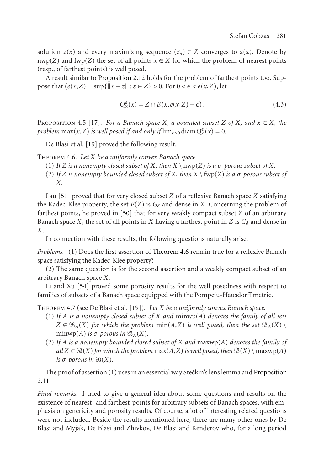solution  $z(x)$  and every maximizing sequence  $(z_n) \subset Z$  converges to  $z(x)$ . Denote by nwp(*Z*) and fwp(*Z*) the set of all points  $x \in X$  for which the problem of nearest points (resp., of farthest [poi](#page-24-1)nts) is well posed.

<span id="page-22-0"></span>A result similar to Proposition 2.12 holds for the problem of farthest points too. Sup- $\text{pose that } (e(x, Z) = \sup\{\|x - z\| : z \in Z\} > 0. \text{ For } 0 < \epsilon < e(x, Z), \text{ let }$ 

$$
Q_Z^{\epsilon}(x) = Z \cap B(x, e(x, Z) - \epsilon). \tag{4.3}
$$

PROPOSITION 4.5 [17]. *For a Banach space X, a bounded subset Z* of *X, and*  $x \in X$ *, the problem*  $max(x, Z)$  *is well pose[d if](#page-25-4) and only if*  $lim_{\epsilon \to 0} diam Q_Z^{\epsilon}(x) = 0$ *.* 

De Blasi et al. [19] proved the following result.

Theorem 4.6. *Let X be a uniformly convex Banach space.*

- (1) *If*  $Z$  *is a nonempty closed subset of*  $X$ *, then*  $X \setminus \text{nwp}(Z)$  *is a*  $\sigma$ *-porous subset of*  $X$ *.*
- (2) If *Z* is nonempty bounded closed su[bset of](#page-22-0) *X*, then  $X \setminus \text{fwp}(Z)$  is a  $\sigma$ -porous subset of *X.*

Lau [51] proved that for very closed subset *Z* of a reflexive Banach space *X* satisfying the Kadec-Kle[e pr](#page-25-7)operty, the set  $E(Z)$  is  $G_\delta$  and dense in *X*. Concerning the problem of farthest points, he proved in [50] that for very weakly compact subset *Z* of an arbitrary Banach space *X*, the set of all points in *X* having a farthest point in *Z* is  $G_{\delta}$  and dense in *X*.

In connection with these results, the following questions naturally arise.

*Problems.* (1) Does the first assertion of Theorem 4.6 remain true for a reflexive Banach space satisfying the Kadec-Klee property?

(2) The same question is for the second assertion and a weakly compact subset of an arbitrary Banach space *X*.

Li and Xu [54] proved some porosity results for the well posedness with respect to families of subsets of a Banach space equipped with the Pompeiu-Hausdorff [metric.](#page-10-0)

[Theo](#page-10-0)rem 4.7 (see De Blasi et al. [19]). *Let X be a uniformly convex Banach space.*

- (1) *If A is a nonempty closed subset of X and* minwp(*A*) *denotes the family of all sets*  $Z \in \mathcal{B}_A(X)$  *for which the problem*  $min(A, Z)$  *is well posed, then the set*  $\mathcal{B}_A(X) \setminus \mathcal{B}_A(X)$ minwp(*A*) *is*  $\sigma$ -porous in  $\mathcal{B}_A(X)$ .
- (2) *If A is a nonempty bounded closed subset of X and* maxwp(*A*) *denotes the family of*  $all Z \in \mathcal{B}(X)$  *for which the problem* max(*A*,*Z*) *is well posed, then*  $\mathcal{B}(X) \setminus \max(p(A))$  $i$ *s*  $\sigma$ *-porous in*  $\mathcal{B}(X)$ *.*

The proof of assertion  $(1)$  uses in an essential way Steckin's lens lemma and Proposition 2.11.

*Final remarks.* I tried to give a general idea about some questions and results on the existence of nearest- and farthest-points for arbitrary subsets of Banach spaces, with emphasis on genericity and porosity results. Of course, a lot of interesting related questions were not included. Beside the results mentioned here, there are many other ones by De Blasi and Myjak, De Blasi and Zhivkov, De Blasi and Kenderov who, for a long period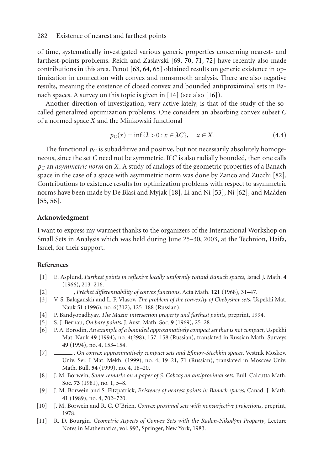of time, systematically investigated various generic properties concerning nearest- and farthest-points problems. Reich and Zaslavski [69, 70, 71, 72] have recently also made contributions in this area. Penot [63, 64, 65] obtained results on generic existence in optimization in connection with convex and nonsmooth analysis. There are also negative results, meaning the existence of closed convex and bounded antiproximinal sets in Banach spaces. A survey on this topic is given in [14] (see also [16]).

Another direction of investigation, very active lately, is that of the study of th[e](#page-26-7) [so](#page-26-7)called generalized optimization problems. One [co](#page-24-14)nsiders an a[bso](#page-25-8)rbin[g co](#page-25-9)nvex subset *C* [of a](#page-25-10) [nor](#page-25-11)med space *X* and the Minkowski functional

$$
p_C(x) = \inf \{ \lambda > 0 : x \in \lambda C \}, \quad x \in X. \tag{4.4}
$$

The functional  $p_C$  is subadditive and positive, but not necessarily absolutely homogeneous, since the set *C* need not be symmetric. If *C* is also radially bounded, then one calls *pC* an *asymmetric norm* on *X*. A study of analogs of the geometric properties of a Banach space in the case of a space with asymmetric norm was done by Zanco and Zucchi [82]. Contributions to existence results for optimization problems with respect to asymmetric norms have been made by De Blasi and Myjak [18], Li and Ni [53], Ni [62], and Maâden [55, 56].

#### <span id="page-23-5"></span>**Acknowledgment**

<span id="page-23-6"></span><span id="page-23-1"></span>I want to express my warmest thanks to the organizers of the International Workshop on Small Sets in Analysis which was held during June 25–30, 2003, at the Technion, Haifa, Israel, for their support.

## <span id="page-23-2"></span>**References**

- [1] E. Asplund, *Farthest points in reflexive locally uniformly rotund Banach spaces*, Israel J. Math. **4** (1966), 213–216.
- <span id="page-23-4"></span>[2] , *Fréchet differentiability of convex functions*, Acta Math. **121** (1968), 31–47.
- <span id="page-23-0"></span>[3] V. S. Balaganski˘ı and L. P. Vlasov, *The problem of the convexity of Chebyshev sets*, Uspekhi Mat. Nauk **51** (1996), no. 6(312), 125–188 (Russian).
- [4] P. Bandyopadhyay, *The Mazur intersection property and farthest points*, preprint, 1994.
- <span id="page-23-3"></span>[5] S. J. Bernau, *On bare points*, J. Aust. Math. Soc. **9** (1969), 25–28.
- <span id="page-23-7"></span>[6] P. A. Borodin, *An example of a bounded approximatively compact set that is not compact*, Uspekhi Mat. Nauk **49** (1994), no. 4(298), 157–158 (Russian), translated in Russian Math. Surveys **49** (1994), no. 4, 153–154.
- [7] , *On convex approximatively compact sets and Efimov-Stechkin spaces*, Vestnik Moskov. Univ. Ser. I Mat. Mekh. (1999), no. 4, 19–21, 71 (Russian), translated in Moscow Univ. Math. Bull. **54** (1999), no. 4, 18–20.
- [8] J. M. Borwein, *Some remarks on a paper of S¸. Cobzas¸ on antiproximal sets*, Bull. Calcutta Math. Soc. **73** (1981), no. 1, 5–8.
- [9] J. M. Borwein and S. Fitzpatrick, *Existence of nearest points in Banach spaces*, Canad. J. Math. **41** (1989), no. 4, 702–720.
- [10] J. M. Borwein and R. C. O'Brien, *Convex proximal sets with nonsurjective projections*, preprint, 1978.
- [11] R. D. Bourgin, *Geometric Aspects of Convex Sets with the Radon-Nikodým Property*, Lecture Notes in Mathematics, vol. 993, Springer, New York, 1983.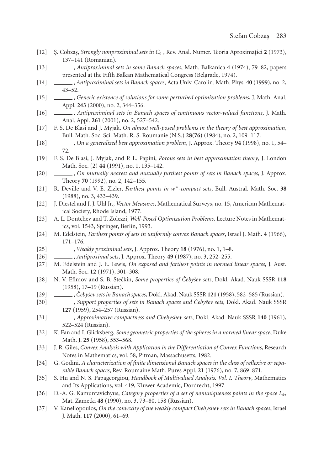- <span id="page-24-7"></span><span id="page-24-6"></span>[12] S. Cobzas, *Strongly nonproximinal sets in*  $C_0$ , Rev. Anal. Numer. Teoria Aproximatiei 2 (1973), 137–141 (Romanian).
- [13] , *Antiproximinal sets in some Banach spaces*, Math. Balkanica **4** (1974), 79–82, papers presented at the Fifth Balkan Mathematical Congress (Belgrade, 1974).
- [14] , *Antiproximinal sets in Banach spaces*, Acta Univ. Carolin. Math. Phys. **40** (1999), no. 2, 43–52.
- [15] , *Generic existence of solutions for some perturbed optimization problems*, J. Math. Anal. Appl. **243** (2000), no. 2, 344–356.
- [16] , *Antiproximinal sets in Banach spaces of continuous vector-valued functions*, J. Math. Anal. Appl. **261** (2001), no. 2, 527–542.
- <span id="page-24-14"></span><span id="page-24-0"></span>[17] F. S. De Blasi and J. Myjak, *On almost well-posed problems in the theory of best approximation*, Bull. Math. Soc. Sci. Math. R. S. Roumanie (N.S.) **28(76)** (1984), no. 2, 109–117.
- <span id="page-24-1"></span>[18] , *On a generalized best approximation problem*, J. Approx. Theory **94** (1998), no. 1, 54– 72.
- [19] F. S. De Blasi, J. Myjak, and P. L. Papini, *Porous sets in best approximation theory*, J. London Math. Soc. (2) **44** (1991), no. 1, 135–142.
- <span id="page-24-13"></span>[20] , *On mutually nearest and mutually furthest points of sets in Banach spaces*, J. Approx. Theory **70** (1992), no. 2, 142–155.
- <span id="page-24-11"></span>[21] R. Deville and V. E. Zizler, *Farthest points in w*<sup>∗</sup>*-compact sets*, Bull. Austral. Math. Soc. **38** (1988), no. 3, 433–439.
- [22] J. Diestel and J. J. Uhl Jr., *Vector Measures*, Mathematical Surveys, no. 15, American Mathematical Society, Rhode Island, 1977.
- [23] A. L. Dontchev and T. Zolezzi, *Well-Posed Optimization Problems*, Lecture Notes in Mathematics, vol. 1543, Springer, Berlin, 1993.
- <span id="page-24-10"></span><span id="page-24-5"></span>[24] M. Edelstein, *Farthest points of sets in uniformly convex Banach spaces*, Israel J. Math. **4** (1966), 171–176.
- <span id="page-24-8"></span>[25] , *Weakly proximinal sets*, J. Approx. Theory **18** (1976), no. 1, 1–8.
- <span id="page-24-12"></span>[26] , *Antiproximal sets*, J. Approx. Theory **49** (1987), no. 3, 252–255.
- [27] M. Edelstein and J. E. Lewis, *On exposed and farthest points in normed linear spaces*, J. Aust. Math. Soc. **12** (1971), 301–308.
- [28] N. V. Efimov and S. B. Stečkin, *Some properties of Cebyšev sets*, Dokl. Akad. Nauk SSSR 118 (1958), 17–19 (Russian).
- [29] , *Ceby ˇ ˇsev sets in Banach spaces*, Dokl. Akad. Nauk SSSR **121** (1958), 582–585 (Russian).
- [30] , *Support properties of sets in Banach spaces and Ceby ˇ ˇsev sets*, Dokl. Akad. Nauk SSSR **127** (1959), 254–257 (Russian).
- <span id="page-24-2"></span>[31] , *Approximative compactness and Chebyshev sets*, Dokl. Akad. Nauk SSSR **140** (1961), 522–524 (Russian).
- [32] K. Fan and I. Glicksberg, *Some geometric properties of the spheres in a normed linear space*, Duke Math. J. **25** (1958), 553–568.
- <span id="page-24-3"></span>[33] J. R. Giles, *Convex Analysis with Application in the Differentiation of Convex Functions*, Research Notes in Mathematics, vol. 58, Pitman, Massachusetts, 1982.
- <span id="page-24-4"></span>[34] G. Godini, *A characterization of finite dimensional Banach spaces in the class of reflexive or separable Banach spaces*, Rev. Roumaine Math. Pures Appl. **21** (1976), no. 7, 869–871.
- [35] S. Hu and N. S. Papageorgiou, *Handbook of Multivalued Analysis. Vol. I. Theory*, Mathematics and Its Applications, vol. 419, Kluwer Academic, Dordrecht, 1997.
- <span id="page-24-9"></span>[36] D.-A. G. Kamuntavichyus, *Category properties of a set of nonuniqueness points in the space Lφ*, Mat. Zametki **48** (1990), no. 3, 73–80, 158 (Russian).
- [37] V. Kanellopoulos, *On the convexity of the weakly compact Chebyshev sets in Banach spaces*, Israel J. Math. **117** (2000), 61–69.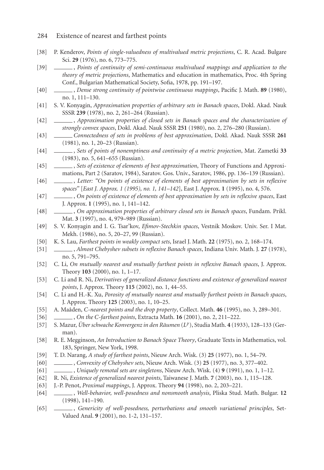- 284 Existence of nearest and farthest points
- [38] P. Kenderov, *Points of single-valuedness of multivalued metric projections*, C. R. Acad. Bulgare Sci. **29** (1976), no. 6, 773–775.
- [39] , *Points of continuity of semi-continuous multivalued mappings and application to the theory of metric projections*, Mathematics and education in mathematics, Proc. 4th Spring Conf., Bulgarian Mathematical Society, Sofia, 1978, pp. 191–197.
- [40] , *Dense strong continuity of pointwise continuous mappings*, Pacific J. Math. **89** (1980), no. 1, 111–130.
- <span id="page-25-3"></span>[41] S. V. Konyagin, *Approximation properties of arbitrary sets in Banach spaces*, Dokl. Akad. Nauk SSSR **239** (1978), no. 2, 261–264 (Russian).
- [42] , *Approximation properties of closed sets in Banach spaces and the characterization of strongly convex spaces*, Dokl. Akad. Nauk SSSR **251** (1980), no. 2, 276–280 (Russian).
- [43] *Connectedness of sets in problems of best approximation*, Dokl. Akad. Nauk SSSR **261** (1981), no. 1, 20–23 (Russian).
- [44] , *Sets of points of nonemptiness and continuity of a metric projection*, Mat. Zametki **33** (1983), no. 5, 641–655 (Russian).
- [45] , *Sets of existence of elements of best approximation*, Theory of Functions and Approximations, Part 2 (Saratov, 1984), Saratov. Gos. Univ., Saratov, 1986, pp. 136–139 (Russian).
- [46] , *Letter: "On points of existence of elements of best approximation by sets in reflexive spaces"* [*East J. Approx. 1 (1995), no. 1, 141–142*], East J. Approx. **1** (1995), no. 4, 576.
- [47] , *On points of existence of elements of best approximation by sets in reflexive spaces*, East J. Approx. **1** (1995), no. 1, 141–142.
- [48] , *On approximation properties of arbitrary closed sets in Banach spaces*, Fundam. Prikl. Mat. **3** (1997), no. 4, 979–989 (Russian).
- <span id="page-25-4"></span><span id="page-25-1"></span>[49] S. V. Konyagin and I. G. Tsar'kov, *Efimov-Stechkin spaces*, Vestnik Moskov. Univ. Ser. I Mat. Mekh. (1986), no. 5, 20–27, 99 (Russian).
- <span id="page-25-2"></span>[50] K. S. Lau, *Farthest points in weakly compact sets*, Israel J. Math. **22** (1975), no. 2, 168–174.
- [51] , *Almost Chebyshev subsets in reflexive Banach spaces*, Indiana Univ. Math. J. **27** (1978), no. 5, 791–795.
- <span id="page-25-6"></span>[52] C. Li, *On mutually nearest and mutually furthest points in reflexive Banach spaces*, J. Approx. Theory **103** (2000), no. 1, 1–17.
- <span id="page-25-8"></span>[53] C. Li and R. Ni, *Derivatives of generalized distance functions and existence of generalized nearest points*, J. Approx. Theory **115** (2002), no. 1, 44–55.
- <span id="page-25-7"></span>[54] C. Li and H.-K. Xu, *Porosity of mutually nearest and mutually furthest points in Banach spaces*, J. Approx. Theory **125** (2003), no. 1, 10–25.
- <span id="page-25-11"></span><span id="page-25-10"></span>[55] A. Maâden, *C*-nearest points and the drop property, Collect. Math. 46 (1995), no. 3, 289–301.
- [56] , *On the C-farthest points*, Extracta Math. **16** (2001), no. 2, 211–222.
- <span id="page-25-5"></span>[57] S. Mazur, *Uber schwache Konvergenz in den R ¨ aumen ¨* (*Lp*), Studia Math. **4** (1933), 128–133 (German).
- <span id="page-25-0"></span>[58] R. E. Megginson, *An Introduction to Banach Space Theory*, Graduate Texts in Mathematics, vol. 183, Springer, New York, 1998.
- [59] T. D. Narang, *A study of farthest points*, Nieuw Arch. Wisk. (3) **25** (1977), no. 1, 54–79.
- [60] , *Convexity of Chebyshev sets*, Nieuw Arch. Wisk. (3) **25** (1977), no. 3, 377–402.
- <span id="page-25-9"></span>[61] , *Uniquely remotal sets are singletons*, Nieuw Arch. Wisk. (4) **9** (1991), no. 1, 1–12.
- [62] R. Ni, *Existence of generalized nearest points*, Taiwanese J. Math. **7** (2003), no. 1, 115–128.
- [63] J.-P. Penot, *Proximal mappings*, J. Approx. Theory **94** (1998), no. 2, 203–221.
- [64] , *Well-behavior, well-posedness and nonsmooth analysis*, Pliska Stud. Math. Bulgar. **12** (1998), 141–190.
- [65] , *Genericity of well-posedness, perturbations and smooth variational principles*, Set-Valued Anal. **9** (2001), no. 1-2, 131–157.